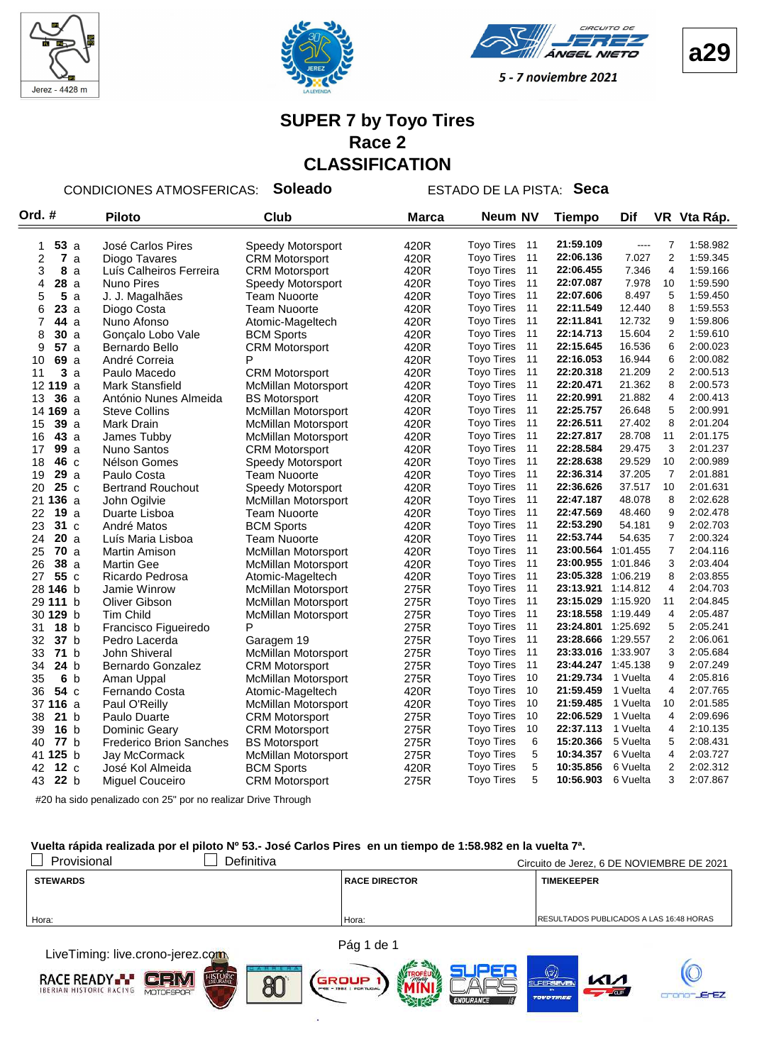



VGEL **NIETO** 



5 - 7 noviembre 2021

#### **SUPER 7 by Toyo Tires Race 2 CLASSIFICATION**

CONDICIONES ATMOSFERICAS: **Soleado** ESTADO DE LA PISTA: **Seca**

| Ord. #         |                              | <b>Piloto</b>                  | Club                       | <b>Marca</b> | <b>Neum NV</b>          | <b>Tiempo</b>      | Dif      |                | VR Vta Ráp. |
|----------------|------------------------------|--------------------------------|----------------------------|--------------|-------------------------|--------------------|----------|----------------|-------------|
|                |                              |                                |                            |              |                         |                    |          |                |             |
| 1              | 53a                          | José Carlos Pires              | Speedy Motorsport          | 420R         | <b>Toyo Tires</b><br>11 | 21:59.109          | $---$    | $\overline{7}$ | 1:58.982    |
| $\overline{c}$ | $\overline{\mathbf{r}}$<br>a | Diogo Tavares                  | <b>CRM Motorsport</b>      | 420R         | 11<br><b>Toyo Tires</b> | 22:06.136          | 7.027    | $\overline{2}$ | 1:59.345    |
| 3              | 8<br>a                       | Luís Calheiros Ferreira        | <b>CRM Motorsport</b>      | 420R         | 11<br><b>Toyo Tires</b> | 22:06.455          | 7.346    | 4              | 1:59.166    |
| 4              | 28a                          | <b>Nuno Pires</b>              | Speedy Motorsport          | 420R         | <b>Toyo Tires</b><br>11 | 22:07.087          | 7.978    | 10             | 1:59.590    |
| 5              | 5<br>a                       | J. J. Magalhães                | <b>Team Nuoorte</b>        | 420R         | 11<br><b>Toyo Tires</b> | 22:07.606          | 8.497    | 5              | 1:59.450    |
| 6              | 23a                          | Diogo Costa                    | <b>Team Nuoorte</b>        | 420R         | <b>Toyo Tires</b><br>11 | 22:11.549          | 12.440   | 8              | 1:59.553    |
| 7              | <b>44</b> a                  | Nuno Afonso                    | Atomic-Mageltech           | 420R         | <b>Toyo Tires</b><br>11 | 22:11.841          | 12.732   | 9              | 1:59.806    |
| 8              | 30a                          | Gonçalo Lobo Vale              | <b>BCM Sports</b>          | 420R         | 11<br><b>Toyo Tires</b> | 22:14.713          | 15.604   | $\overline{c}$ | 1:59.610    |
| 9              | 57a                          | Bernardo Bello                 | <b>CRM Motorsport</b>      | 420R         | 11<br><b>Toyo Tires</b> | 22:15.645          | 16.536   | 6              | 2:00.023    |
| 10             | 69 a                         | André Correia                  | P                          | 420R         | <b>Toyo Tires</b><br>11 | 22:16.053          | 16.944   | 6              | 2:00.082    |
| 11             | 3<br>a                       | Paulo Macedo                   | <b>CRM Motorsport</b>      | 420R         | <b>Toyo Tires</b><br>11 | 22:20.318          | 21.209   | $\overline{2}$ | 2:00.513    |
|                | 12 119 a                     | <b>Mark Stansfield</b>         | <b>McMillan Motorsport</b> | 420R         | <b>Toyo Tires</b><br>11 | 22:20.471          | 21.362   | 8              | 2:00.573    |
| 13             | 36a                          | António Nunes Almeida          | <b>BS Motorsport</b>       | 420R         | 11<br><b>Toyo Tires</b> | 22:20.991          | 21.882   | $\overline{4}$ | 2:00.413    |
|                | 14 169 a                     | <b>Steve Collins</b>           | McMillan Motorsport        | 420R         | <b>Toyo Tires</b><br>11 | 22:25.757          | 26.648   | 5              | 2:00.991    |
| 15             | 39a                          | Mark Drain                     | <b>McMillan Motorsport</b> | 420R         | <b>Toyo Tires</b><br>11 | 22:26.511          | 27.402   | 8              | 2:01.204    |
| 16             | 43a                          | James Tubby                    | <b>McMillan Motorsport</b> | 420R         | 11<br><b>Toyo Tires</b> | 22:27.817          | 28.708   | 11             | 2:01.175    |
| 17             | 99a                          | Nuno Santos                    | <b>CRM Motorsport</b>      | 420R         | 11<br><b>Toyo Tires</b> | 22:28.584          | 29.475   | 3              | 2:01.237    |
| 18             | 46 c                         | Nélson Gomes                   | Speedy Motorsport          | 420R         | 11<br><b>Toyo Tires</b> | 22:28.638          | 29.529   | 10             | 2:00.989    |
| 19             | 29a                          | Paulo Costa                    | <b>Team Nuoorte</b>        | 420R         | 11<br><b>Toyo Tires</b> | 22:36.314          | 37.205   | $\overline{7}$ | 2:01.881    |
| 20             | 25c                          | <b>Bertrand Rouchout</b>       | Speedy Motorsport          | 420R         | 11<br><b>Toyo Tires</b> | 22:36.626          | 37.517   | 10             | 2:01.631    |
|                | 21 136 a                     | John Ogilvie                   | McMillan Motorsport        | 420R         | <b>Toyo Tires</b><br>11 | 22:47.187          | 48.078   | 8              | 2:02.628    |
| 22             | <b>19</b> a                  | Duarte Lisboa                  | Team Nuoorte               | 420R         | <b>Toyo Tires</b><br>11 | 22:47.569          | 48.460   | 9              | 2:02.478    |
| 23             | 31 c                         | André Matos                    | <b>BCM Sports</b>          | 420R         | 11<br><b>Toyo Tires</b> | 22:53.290          | 54.181   | 9              | 2:02.703    |
| 24             | 20a                          | Luís Maria Lisboa              | <b>Team Nuoorte</b>        | 420R         | 11<br><b>Toyo Tires</b> | 22:53.744          | 54.635   | $\overline{7}$ | 2:00.324    |
| 25             | <b>70</b> a                  | Martin Amison                  | McMillan Motorsport        | 420R         | <b>Toyo Tires</b><br>11 | 23:00.564          | 1:01.455 | $\overline{7}$ | 2:04.116    |
| 26             | 38a                          | <b>Martin Gee</b>              | <b>McMillan Motorsport</b> | 420R         | 11<br><b>Toyo Tires</b> | 23:00.955          | 1:01.846 | 3              | 2:03.404    |
| 27             | 55 c                         | Ricardo Pedrosa                | Atomic-Mageltech           | 420R         | 11<br><b>Toyo Tires</b> | 23:05.328          | 1:06.219 | 8              | 2:03.855    |
|                | 28 146 b                     | Jamie Winrow                   | <b>McMillan Motorsport</b> | 275R         | 11<br><b>Toyo Tires</b> | 23:13.921          | 1:14.812 | $\overline{4}$ | 2:04.703    |
|                | 29 111 b                     | Oliver Gibson                  | McMillan Motorsport        | 275R         | 11<br><b>Toyo Tires</b> | 23:15.029          | 1:15.920 | 11             | 2:04.845    |
|                | 30 129 b                     | <b>Tim Child</b>               | McMillan Motorsport        | 275R         | 11<br><b>Toyo Tires</b> | 23:18.558          | 1:19.449 | $\overline{4}$ | 2:05.487    |
| 31             | 18 <sub>b</sub>              | Francisco Figueiredo           | P                          | 275R         | 11<br><b>Toyo Tires</b> | 23:24.801          | 1:25.692 | 5              | 2:05.241    |
| 32             | 37 b                         | Pedro Lacerda                  | Garagem 19                 | 275R         | <b>Toyo Tires</b><br>11 | 23:28.666          | 1:29.557 | $\overline{2}$ | 2:06.061    |
| 33             | 71 <sub>b</sub>              | John Shiveral                  | McMillan Motorsport        | 275R         | 11<br><b>Toyo Tires</b> | 23:33.016 1:33.907 |          | 3              | 2:05.684    |
| 34             | 24 b                         | Bernardo Gonzalez              | <b>CRM Motorsport</b>      | 275R         | 11<br><b>Toyo Tires</b> | 23:44.247          | 1:45.138 | 9              | 2:07.249    |
| 35             | 6 <sub>b</sub>               | Aman Uppal                     | <b>McMillan Motorsport</b> | 275R         | <b>Toyo Tires</b><br>10 | 21:29.734          | 1 Vuelta | $\overline{4}$ | 2:05.816    |
| 36             | 54 c                         | Fernando Costa                 | Atomic-Mageltech           | 420R         | 10<br><b>Toyo Tires</b> | 21:59.459          | 1 Vuelta | 4              | 2:07.765    |
|                | 37 116 a                     | Paul O'Reilly                  | <b>McMillan Motorsport</b> | 420R         | <b>Toyo Tires</b><br>10 | 21:59.485          | 1 Vuelta | 10             | 2:01.585    |
| 38             | 21 <sub>b</sub>              | Paulo Duarte                   | <b>CRM Motorsport</b>      | 275R         | 10<br><b>Toyo Tires</b> | 22:06.529          | 1 Vuelta | 4              | 2:09.696    |
| 39             | 16 <sub>b</sub>              | Dominic Geary                  | <b>CRM Motorsport</b>      | 275R         | 10<br><b>Toyo Tires</b> | 22:37.113          | 1 Vuelta | 4              | 2:10.135    |
| 40             | 77 <sub>b</sub>              | <b>Frederico Brion Sanches</b> | <b>BS Motorsport</b>       | 275R         | 6<br><b>Toyo Tires</b>  | 15:20.366          | 5 Vuelta | 5              | 2:08.431    |
|                | 41 125 b                     | Jay McCormack                  | McMillan Motorsport        | 275R         | 5<br><b>Toyo Tires</b>  | 10:34.357          | 6 Vuelta | $\overline{4}$ | 2:03.727    |
| 42             | 12c                          | José Kol Almeida               | <b>BCM Sports</b>          | 420R         | 5<br><b>Toyo Tires</b>  | 10:35.856          | 6 Vuelta | $\overline{c}$ | 2:02.312    |
| 43             | 22 b                         | Miguel Couceiro                | <b>CRM Motorsport</b>      | 275R         | 5<br><b>Toyo Tires</b>  | 10:56.903          | 6 Vuelta | 3              | 2:07.867    |

#20 ha sido penalizado con 25" por no realizar Drive Through

#### **Vuelta rápida realizada por el piloto Nº 53.- José Carlos Pires en un tiempo de 1:58.982 en la vuelta 7ª.**

| Provisional     | Definitiva |                      | Circuito de Jerez, 6 DE NOVIEMBRE DE 2021 |
|-----------------|------------|----------------------|-------------------------------------------|
| <b>STEWARDS</b> |            | <b>RACE DIRECTOR</b> | <b>TIMEKEEPER</b>                         |
|                 |            |                      |                                           |
|                 |            |                      |                                           |
| Hora:           |            | Hora:                | RESULTADOS PUBLICADOS A LAS 16:48 HORAS   |
|                 |            |                      |                                           |
|                 |            |                      |                                           |

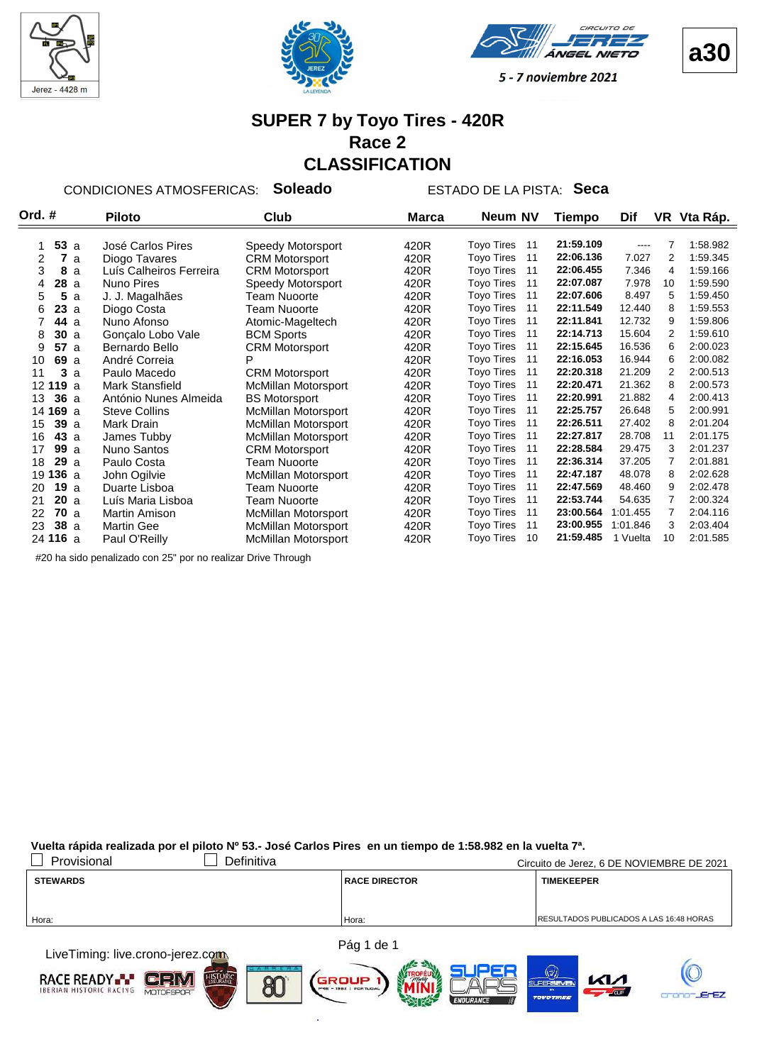







#### **SUPER 7 by Toyo Tires - 420R Race 2 CLASSIFICATION**

CONDICIONES ATMOSFERICAS: **Soleado** ESTADO DE LA PISTA: **Seca**

| Ord. # |                 |    | <b>Piloto</b>           | Club                       | <b>Marca</b> | Neum NV                 | Tiempo    | Dif      |    | VR Vta Ráp. |
|--------|-----------------|----|-------------------------|----------------------------|--------------|-------------------------|-----------|----------|----|-------------|
|        |                 |    |                         |                            |              |                         |           |          |    |             |
|        | 53a             |    | José Carlos Pires       | Speedy Motorsport          | 420R         | <b>Toyo Tires</b><br>11 | 21:59.109 | ----     |    | 1:58.982    |
| 2      | 7               | a  | Diogo Tavares           | <b>CRM Motorsport</b>      | 420R         | <b>Toyo Tires</b><br>11 | 22:06.136 | 7.027    | 2  | 1:59.345    |
| 3      | 8               | a  | Luís Calheiros Ferreira | <b>CRM Motorsport</b>      | 420R         | <b>Toyo Tires</b><br>11 | 22:06.455 | 7.346    | 4  | 1:59.166    |
| 4      | 28 a            |    | Nuno Pires              | Speedy Motorsport          | 420R         | <b>Toyo Tires</b><br>11 | 22:07.087 | 7.978    | 10 | 1:59.590    |
| 5      | 5               | a  | J. J. Magalhães         | Team Nuoorte               | 420R         | <b>Toyo Tires</b><br>11 | 22:07.606 | 8.497    | 5  | 1:59.450    |
| 6      | 23a             |    | Diogo Costa             | Team Nuoorte               | 420R         | <b>Toyo Tires</b><br>11 | 22:11.549 | 12.440   | 8  | 1.59.553    |
|        | 44 a            |    | Nuno Afonso             | Atomic-Mageltech           | 420R         | <b>Toyo Tires</b><br>11 | 22:11.841 | 12.732   | 9  | 1:59.806    |
| 8      | 30a             |    | Gonçalo Lobo Vale       | <b>BCM Sports</b>          | 420R         | <b>Toyo Tires</b><br>11 | 22:14.713 | 15.604   | 2  | 1:59.610    |
| 9      | 57a             |    | Bernardo Bello          | <b>CRM Motorsport</b>      | 420R         | <b>Toyo Tires</b><br>11 | 22:15.645 | 16.536   | 6  | 2:00.023    |
| 10     | 69 a            |    | André Correia           | P                          | 420R         | <b>Toyo Tires</b><br>11 | 22:16.053 | 16.944   | 6  | 2:00.082    |
| 11     |                 | 3a | Paulo Macedo            | <b>CRM Motorsport</b>      | 420R         | <b>Toyo Tires</b><br>11 | 22:20.318 | 21.209   | 2  | 2:00.513    |
|        | 12 119 a        |    | Mark Stansfield         | McMillan Motorsport        | 420R         | <b>Toyo Tires</b><br>11 | 22:20.471 | 21.362   | 8  | 2:00.573    |
| 13     | 36a             |    | António Nunes Almeida   | <b>BS Motorsport</b>       | 420R         | <b>Toyo Tires</b><br>11 | 22:20.991 | 21.882   | 4  | 2:00.413    |
|        | 14 169 a        |    | <b>Steve Collins</b>    | <b>McMillan Motorsport</b> | 420R         | <b>Toyo Tires</b><br>11 | 22:25.757 | 26.648   | 5  | 2:00.991    |
| 15     | 39a             |    | Mark Drain              | McMillan Motorsport        | 420R         | <b>Toyo Tires</b><br>11 | 22:26.511 | 27.402   | 8  | 2:01.204    |
| 16     | 43a             |    | James Tubby             | <b>McMillan Motorsport</b> | 420R         | <b>Toyo Tires</b><br>11 | 22:27.817 | 28.708   | 11 | 2:01.175    |
| 17     | 99a             |    | <b>Nuno Santos</b>      | <b>CRM Motorsport</b>      | 420R         | <b>Toyo Tires</b><br>11 | 22:28.584 | 29.475   | 3  | 2:01.237    |
| 18     | 29a             |    | Paulo Costa             | Team Nuoorte               | 420R         | <b>Toyo Tires</b><br>11 | 22:36.314 | 37.205   | 7  | 2:01.881    |
|        | 19 136 a        |    | John Ogilvie            | <b>McMillan Motorsport</b> | 420R         | <b>Toyo Tires</b><br>11 | 22:47.187 | 48.078   | 8  | 2:02.628    |
| 20     | 19a             |    | Duarte Lisboa           | Team Nuoorte               | 420R         | <b>Toyo Tires</b><br>11 | 22:47.569 | 48.460   | 9  | 2:02.478    |
| 21     | 20a             |    | Luís Maria Lisboa       | Team Nuoorte               | 420R         | <b>Toyo Tires</b><br>11 | 22:53.744 | 54.635   | 7  | 2:00.324    |
| 22     | 70a             |    | <b>Martin Amison</b>    | <b>McMillan Motorsport</b> | 420R         | <b>Toyo Tires</b><br>11 | 23:00.564 | 1:01.455 | 7  | 2:04.116    |
| 23     | 38a             |    | <b>Martin Gee</b>       | <b>McMillan Motorsport</b> | 420R         | <b>Toyo Tires</b><br>11 | 23:00.955 | 1:01.846 | 3  | 2:03.404    |
|        | 24 <b>116</b> a |    | Paul O'Reilly           | <b>McMillan Motorsport</b> | 420R         | <b>Toyo Tires</b><br>10 | 21:59.485 | 1 Vuelta | 10 | 2:01.585    |

#20 ha sido penalizado con 25" por no realizar Drive Through

**Vuelta rápida realizada por el piloto Nº 53.- José Carlos Pires en un tiempo de 1:58.982 en la vuelta 7ª.**

| Provisional<br>Definitiva                                                                                                                                                                                                     |                      | Circuito de Jerez, 6 DE NOVIEMBRE DE 2021      |
|-------------------------------------------------------------------------------------------------------------------------------------------------------------------------------------------------------------------------------|----------------------|------------------------------------------------|
| <b>STEWARDS</b>                                                                                                                                                                                                               | <b>RACE DIRECTOR</b> | <b>TIMEKEEPER</b>                              |
|                                                                                                                                                                                                                               |                      |                                                |
| Hora:                                                                                                                                                                                                                         | Hora:                | <b>RESULTADOS PUBLICADOS A LAS 16:48 HORAS</b> |
| the company of the company of the company of the company of the company of the company of the company of the company of the company of the company of the company of the company of the company of the company of the company | Pág 1 de 1           |                                                |

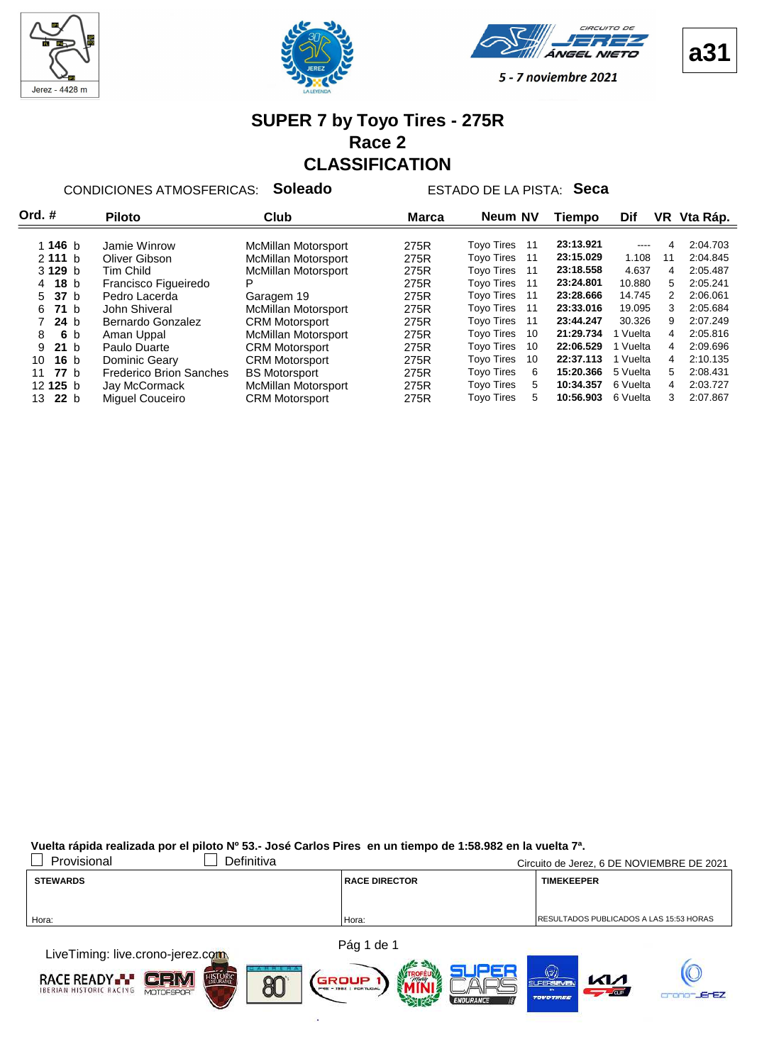







#### **SUPER 7 by Toyo Tires - 275R Race 2 CLASSIFICATION**

CONDICIONES ATMOSFERICAS: **Soleado** ESTADO DE LA PISTA: **Seca**

| Ord. #                | <b>Piloto</b>                  | Club                       | <b>Marca</b> | Neum NV                 | Tiempo    | Dif           | VR. | Vta Ráp. |
|-----------------------|--------------------------------|----------------------------|--------------|-------------------------|-----------|---------------|-----|----------|
|                       |                                |                            |              |                         |           |               |     |          |
| 1 146 $b$             | Jamie Winrow                   | McMillan Motorsport        | 275R         | <b>Toyo Tires</b><br>11 | 23:13.921 | $\frac{1}{2}$ | 4   | 2:04.703 |
| 2111 b                | Oliver Gibson                  | <b>McMillan Motorsport</b> | 275R         | <b>Toyo Tires</b><br>11 | 23:15.029 | 1.108         | 11  | 2:04.845 |
| 3 129 b               | Tim Child                      | <b>McMillan Motorsport</b> | 275R         | <b>Tovo Tires</b><br>11 | 23:18.558 | 4.637         | 4   | 2:05.487 |
| 18 <sub>b</sub><br>4  | Francisco Figueiredo           | Р                          | 275R         | <b>Toyo Tires</b><br>11 | 23:24.801 | 10.880        | 5   | 2:05.241 |
| 5 37 b                | Pedro Lacerda                  | Garagem 19                 | 275R         | <b>Tovo Tires</b><br>11 | 23:28.666 | 14.745        | 2   | 2:06.061 |
| 71h<br>6.             | John Shiveral                  | <b>McMillan Motorsport</b> | 275R         | <b>Toyo Tires</b><br>11 | 23:33.016 | 19.095        | 3   | 2:05.684 |
| 24 <sub>b</sub>       | Bernardo Gonzalez              | <b>CRM Motorsport</b>      | 275R         | <b>Tovo Tires</b><br>11 | 23:44.247 | 30.326        | 9   | 2:07.249 |
| 6 b<br>8              | Aman Uppal                     | <b>McMillan Motorsport</b> | 275R         | <b>Tovo Tires</b><br>10 | 21:29.734 | Vuelta        | 4   | 2:05.816 |
| 21 <sub>b</sub><br>9  | Paulo Duarte                   | <b>CRM Motorsport</b>      | 275R         | <b>Toyo Tires</b><br>10 | 22:06.529 | 1 Vuelta      | 4   | 2:09.696 |
| 16 <sub>b</sub><br>10 | Dominic Geary                  | <b>CRM Motorsport</b>      | 275R         | <b>Toyo Tires</b><br>10 | 22:37.113 | 1 Vuelta      | 4   | 2:10.135 |
| 77h<br>11             | <b>Frederico Brion Sanches</b> | <b>BS Motorsport</b>       | 275R         | <b>Toyo Tires</b><br>6  | 15:20.366 | 5 Vuelta      | 5   | 2:08.431 |
| 12125 b               | Jay McCormack                  | McMillan Motorsport        | 275R         | <b>Tovo Tires</b><br>5. | 10:34.357 | 6 Vuelta      | 4   | 2:03.727 |
| 22 <sub>b</sub><br>13 | Miguel Couceiro                | <b>CRM Motorsport</b>      | 275R         | <b>Tovo Tires</b><br>5. | 10:56.903 | 6 Vuelta      | 3   | 2:07.867 |

**Vuelta rápida realizada por el piloto Nº 53.- José Carlos Pires en un tiempo de 1:58.982 en la vuelta 7ª.**

| Provisional                                                                                                                                                                                                                   | Definitiva |                      | Circuito de Jerez, 6 DE NOVIEMBRE DE 2021      |
|-------------------------------------------------------------------------------------------------------------------------------------------------------------------------------------------------------------------------------|------------|----------------------|------------------------------------------------|
| <b>STEWARDS</b>                                                                                                                                                                                                               |            | <b>RACE DIRECTOR</b> | <b>TIMEKEEPER</b>                              |
|                                                                                                                                                                                                                               |            |                      |                                                |
| Hora:                                                                                                                                                                                                                         |            | Hora:                | <b>RESULTADOS PUBLICADOS A LAS 15:53 HORAS</b> |
|                                                                                                                                                                                                                               |            |                      |                                                |
| the company of the company of the company of the company of the company of the company of the company of the company of the company of the company of the company of the company of the company of the company of the company |            | Pág 1 de 1           |                                                |

LiveTiming: live.crono-jerez.com **RACE READY**  $\blacksquare$ e $\blacksquare$  $\mathbb{N}$ al GROUP 80 **ErEZ**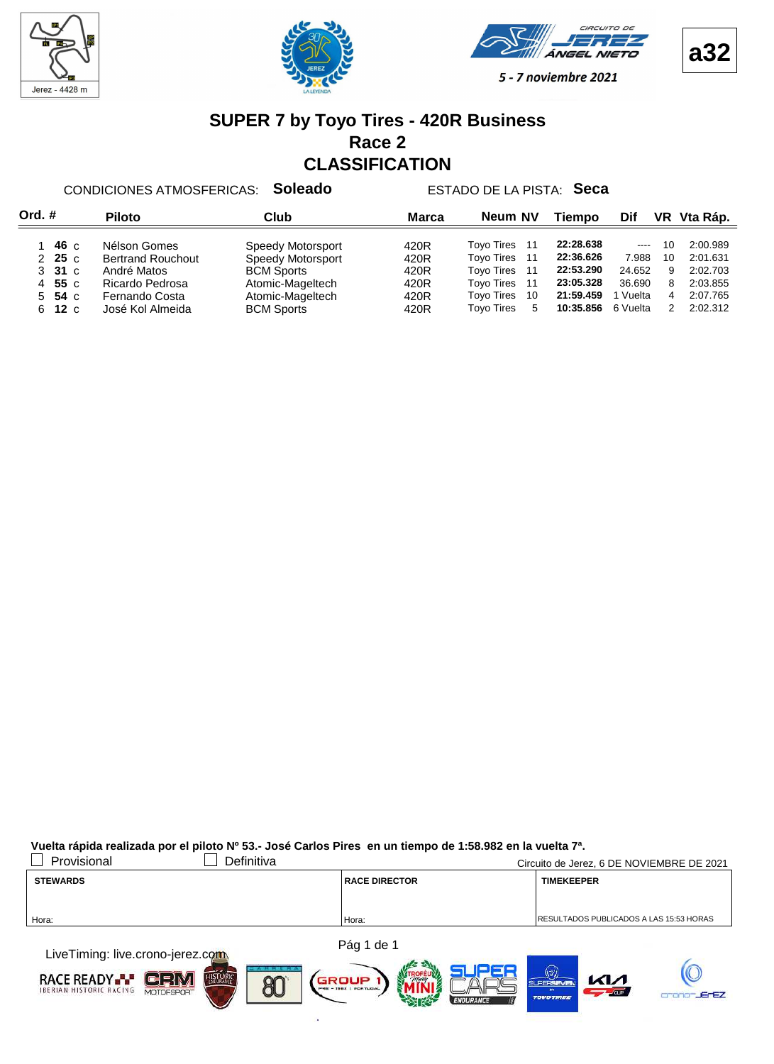







#### **SUPER 7 by Toyo Tires - 420R Business Race 2 CLASSIFICATION**

CONDICIONES ATMOSFERICAS: **Soleado** ESTADO DE LA PISTA: **Seca**

| Ord.# |                     | <b>Piloto</b>            | Club              | Marca | Neum NV                  | Tiempo    | Dif      |               | VR Vta Ráp. |
|-------|---------------------|--------------------------|-------------------|-------|--------------------------|-----------|----------|---------------|-------------|
|       | 46 c                | Nélson Gomes             | Speedy Motorsport | 420R  | <b>Toyo Tires</b><br>-11 | 22:28.638 | $\cdots$ | 10            | 2:00.989    |
|       | $2\,25\,c$          | <b>Bertrand Rouchout</b> | Speedy Motorsport | 420R  | <b>Toyo Tires</b><br>11  | 22:36.626 | 7.988    | 10            | 2:01.631    |
|       | $3\quad31\text{ c}$ | André Matos              | <b>BCM Sports</b> | 420R  | <b>Toyo Tires</b><br>11  | 22:53.290 | 24.652   | 9             | 2:02.703    |
|       | 4 55 $c$            | Ricardo Pedrosa          | Atomic-Mageltech  | 420R  | <b>Toyo Tires</b><br>11  | 23:05.328 | 36.690   | 8             | 2:03.855    |
| 5.    | 54 с                | Fernando Costa           | Atomic-Mageltech  | 420R  | <b>Toyo Tires</b><br>10  | 21:59.459 | Vuelta   | 4             | 2:07.765    |
| 6.    | 12c                 | José Kol Almeida         | <b>BCM Sports</b> | 420R  | <b>Tovo Tires</b><br>5   | 10:35.856 | 6 Vuelta | $\mathcal{P}$ | 2:02.312    |

**Vuelta rápida realizada por el piloto Nº 53.- José Carlos Pires en un tiempo de 1:58.982 en la vuelta 7ª.**

| Provisional                                                                                                       | Definitiva |                      | Circuito de Jerez, 6 DE NOVIEMBRE DE 2021       |
|-------------------------------------------------------------------------------------------------------------------|------------|----------------------|-------------------------------------------------|
| <b>STEWARDS</b>                                                                                                   |            | <b>RACE DIRECTOR</b> | <b>TIMEKEEPER</b>                               |
|                                                                                                                   |            |                      |                                                 |
| Hora:                                                                                                             |            | Hora:                | <b>IRESULTADOS PUBLICADOS A LAS 15:53 HORAS</b> |
|                                                                                                                   |            |                      |                                                 |
| the complete that the contract of the contract of the contract of the contract of the contract of the contract of |            | Pág 1 de 1           |                                                 |

LiveTiming: live.crono-jerez.com **RACE READY**  $\blacksquare$ e $\blacksquare$  $\mathbb{N}$ al GROUP 80 ErEZ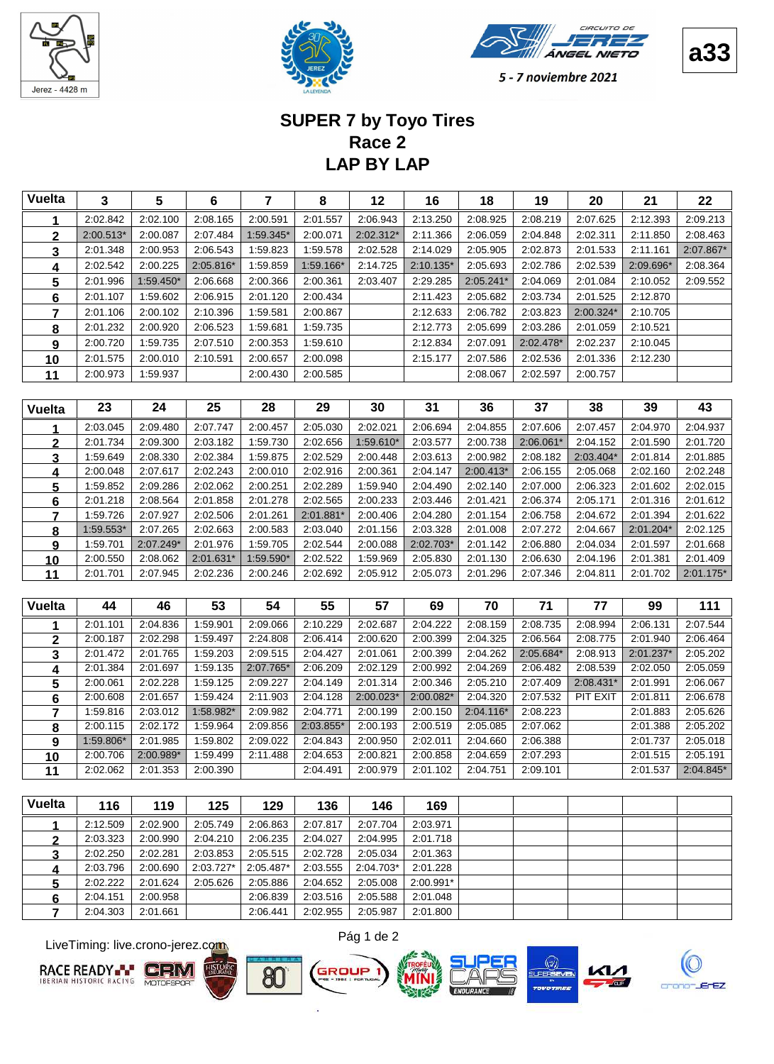





#### **LAP BY LAP Race 2 SUPER 7 by Toyo Tires**

| <b>Vuelta</b> | 3         | 5         | 6         | 7         | 8         | 12        | 16        | 18          | 19          | 20        | 21        | 22          |
|---------------|-----------|-----------|-----------|-----------|-----------|-----------|-----------|-------------|-------------|-----------|-----------|-------------|
| 1             | 2:02.842  | 2:02.100  | 2:08.165  | 2:00.591  | 2:01.557  | 2:06.943  | 2:13.250  | 2:08.925    | 2:08.219    | 2:07.625  | 2:12.393  | 2:09.213    |
| $\mathbf 2$   | 2:00.513* | 2:00.087  | 2:07.484  | 1:59.345* | 2:00.071  | 2:02.312* | 2:11.366  | 2:06.059    | 2:04.848    | 2:02.311  | 2:11.850  | 2:08.463    |
| 3             | 2:01.348  | 2:00.953  | 2:06.543  | 1:59.823  | 1:59.578  | 2:02.528  | 2:14.029  | 2:05.905    | 2:02.873    | 2:01.533  | 2:11.161  | 2:07.867*   |
| 4             | 2:02.542  | 2:00.225  | 2:05.816* | 1:59.859  | 1:59.166* | 2:14.725  | 2:10.135* | 2:05.693    | 2:02.786    | 2:02.539  | 2:09.696* | 2:08.364    |
| 5             | 2:01.996  | 1:59.450* | 2:06.668  | 2:00.366  | 2:00.361  | 2:03.407  | 2:29.285  | 2:05.241*   | 2:04.069    | 2:01.084  | 2:10.052  | 2:09.552    |
| 6             | 2:01.107  | 1:59.602  | 2:06.915  | 2:01.120  | 2:00.434  |           | 2:11.423  | 2:05.682    | 2:03.734    | 2:01.525  | 2:12.870  |             |
| 7             | 2:01.106  | 2:00.102  | 2:10.396  | 1:59.581  | 2:00.867  |           | 2:12.633  | 2:06.782    | 2:03.823    | 2:00.324* | 2:10.705  |             |
| 8             | 2:01.232  | 2:00.920  | 2:06.523  | 1:59.681  | 1:59.735  |           | 2:12.773  | 2:05.699    | 2:03.286    | 2:01.059  | 2:10.521  |             |
| 9             | 2:00.720  | 1:59.735  | 2:07.510  | 2:00.353  | 1:59.610  |           | 2:12.834  | 2:07.091    | 2:02.478*   | 2:02.237  | 2:10.045  |             |
| 10            | 2:01.575  | 2:00.010  | 2:10.591  | 2:00.657  | 2:00.098  |           | 2:15.177  | 2:07.586    | 2:02.536    | 2:01.336  | 2:12.230  |             |
| 11            | 2:00.973  | 1:59.937  |           | 2:00.430  | 2:00.585  |           |           | 2:08.067    | 2:02.597    | 2:00.757  |           |             |
|               |           |           |           |           |           |           |           |             |             |           |           |             |
| <b>Vuelta</b> | 23        | 24        | 25        | 28        | 29        | 30        | 31        | 36          | 37          | 38        | 39        | 43          |
| 1             | 2:03.045  | 2:09.480  | 2:07.747  | 2:00.457  | 2:05.030  | 2:02.021  | 2:06.694  | 2:04.855    | 2:07.606    | 2:07.457  | 2:04.970  | 2:04.937    |
| $\mathbf{2}$  | 2:01.734  | 2:09.300  | 2:03.182  | 1:59.730  | 2:02.656  | 1:59.610* | 2:03.577  | 2:00.738    | $2:06.061*$ | 2:04.152  | 2:01.590  | 2:01.720    |
| 3             | 1:59.649  | 2:08.330  | 2:02.384  | 1:59.875  | 2:02.529  | 2:00.448  | 2:03.613  | 2:00.982    | 2:08.182    | 2:03.404* | 2:01.814  | 2:01.885    |
| 4             | 2:00.048  | 2:07.617  | 2:02.243  | 2:00.010  | 2:02.916  | 2:00.361  | 2:04.147  | 2:00.413*   | 2:06.155    | 2:05.068  | 2:02.160  | 2:02.248    |
| 5             | 1:59.852  | 2:09.286  | 2:02.062  | 2:00.251  | 2:02.289  | 1:59.940  | 2:04.490  | 2:02.140    | 2:07.000    | 2:06.323  | 2:01.602  | 2:02.015    |
| 6             | 2:01.218  | 2:08.564  | 2:01.858  | 2:01.278  | 2:02.565  | 2:00.233  | 2:03.446  | 2:01.421    | 2:06.374    | 2:05.171  | 2:01.316  | 2:01.612    |
| 7             | 1:59.726  | 2:07.927  | 2:02.506  | 2:01.261  | 2:01.881* | 2:00.406  | 2:04.280  | 2:01.154    | 2:06.758    | 2:04.672  | 2:01.394  | 2:01.622    |
| 8             | 1:59.553* | 2:07.265  | 2:02.663  | 2:00.583  | 2:03.040  | 2:01.156  | 2:03.328  | 2:01.008    | 2:07.272    | 2:04.667  | 2:01.204* | 2:02.125    |
| 9             | 1:59.701  | 2:07.249* | 2:01.976  | 1:59.705  | 2:02.544  | 2:00.088  | 2:02.703* | 2:01.142    | 2:06.880    | 2:04.034  | 2:01.597  | 2:01.668    |
| <u>10</u>     | 2:00.550  | 2:08.062  | 2:01.631* | 1:59.590* | 2:02.522  | 1:59.969  | 2:05.830  | 2:01.130    | 2:06.630    | 2:04.196  | 2:01.381  | 2:01.409    |
| 11            | 2:01.701  | 2:07.945  | 2:02.236  | 2:00.246  | 2:02.692  | 2:05.912  | 2:05.073  | 2:01.296    | 2:07.346    | 2:04.811  | 2:01.702  | $2:01.175*$ |
|               |           |           |           |           |           |           |           |             |             |           |           |             |
| <b>Vuelta</b> | 44        | 46        | 53        | 54        | 55        | 57        | 69        | 70          | 71          | 77        | 99        | 111         |
| 1             | 2:01.101  | 2:04.836  | 1:59.901  | 2:09.066  | 2:10.229  | 2:02.687  | 2:04.222  | 2:08.159    | 2:08.735    | 2:08.994  | 2:06.131  | 2:07.544    |
| $\mathbf 2$   | 2:00.187  | 2:02.298  | 1:59.497  | 2:24.808  | 2:06.414  | 2:00.620  | 2:00.399  | 2:04.325    | 2:06.564    | 2:08.775  | 2:01.940  | 2:06.464    |
| 3             | 2:01.472  | 2:01.765  | 1:59.203  | 2:09.515  | 2:04.427  | 2:01.061  | 2:00.399  | 2:04.262    | 2:05.684*   | 2:08.913  | 2:01.237* | 2:05.202    |
| 4             | 2:01.384  | 2:01.697  | 1:59.135  | 2:07.765* | 2:06.209  | 2:02.129  | 2:00.992  | 2:04.269    | 2:06.482    | 2:08.539  | 2:02.050  | 2:05.059    |
| 5             | 2:00.061  | 2:02.228  | 1:59.125  | 2:09.227  | 2:04.149  | 2:01.314  | 2:00.346  | 2:05.210    | 2:07.409    | 2:08.431* | 2:01.991  | 2:06.067    |
| 6             | 2:00.608  | 2:01.657  | 1:59.424  | 2:11.903  | 2:04.128  | 2:00.023* | 2:00.082* | 2:04.320    | 2:07.532    | PIT EXIT  | 2:01.811  | 2:06.678    |
| 7             | 1:59.816  | 2:03.012  | 1:58.982* | 2:09.982  | 2:04.771  | 2:00.199  | 2:00.150  | $2:04.116*$ | 2:08.223    |           | 2:01.883  | 2:05.626    |
| 8             | 2:00.115  | 2:02.172  | 1:59.964  | 2:09.856  | 2:03.855* | 2:00.193  | 2:00.519  | 2:05.085    | 2:07.062    |           | 2:01.388  | 2:05.202    |

 2:00.706 2:00.989\* 1:59.499 2:11.488 2:04.653 2:00.821 2:00.858 2:04.659 2:07.293 2:07.515 2:05.191 2:02.062 2:00.390 2:01.353 2:04.491 2:00.979 2:01.102 2:04.751 2:09.101 2:01.537 2:04.845\* **Vuelta 116 119 129 125 146 136 169** 2:12.509 2:05.749 2:02.900 2:06.863 2:07.817 2:07.704 2:03.971 2:03.323 2:04.210 2:00.990 2:06.235 2:04.027 2:04.995 2:01.718 2:02.250 2:03.853 2:02.281 2:05.515 2:02.728 2:05.034 2:01.363 2:03.796 2:03.727\* 2:00.690 2:05.487\* 2:03.555 2:04.703\* 2:01.228 2:02.222 2:05.626 2:01.624 2:05.886 2:04.652 2:05.008 2:00.991\* 2:04.151 2:00.958 2:06.839 2:03.516 2:05.588 2:01.048

 2:00.115 1:59.964 2:02.172 2:09.856 2:03.855\* 2:00.193 2:00.519 2:05.085 2:07.062 2:01.388 2:05.202 1:59.806\* 1:59.802 2:01.985 2:09.022 2:04.843 2:00.950 2:02.011 2:04.660 2:06.388 2:01.737 2:05.018

LiveTiming: live.crono-jerez.com





2:04.303 2:01.661 2:06.441 2:02.955 2:05.987 2:01.800



GROUP







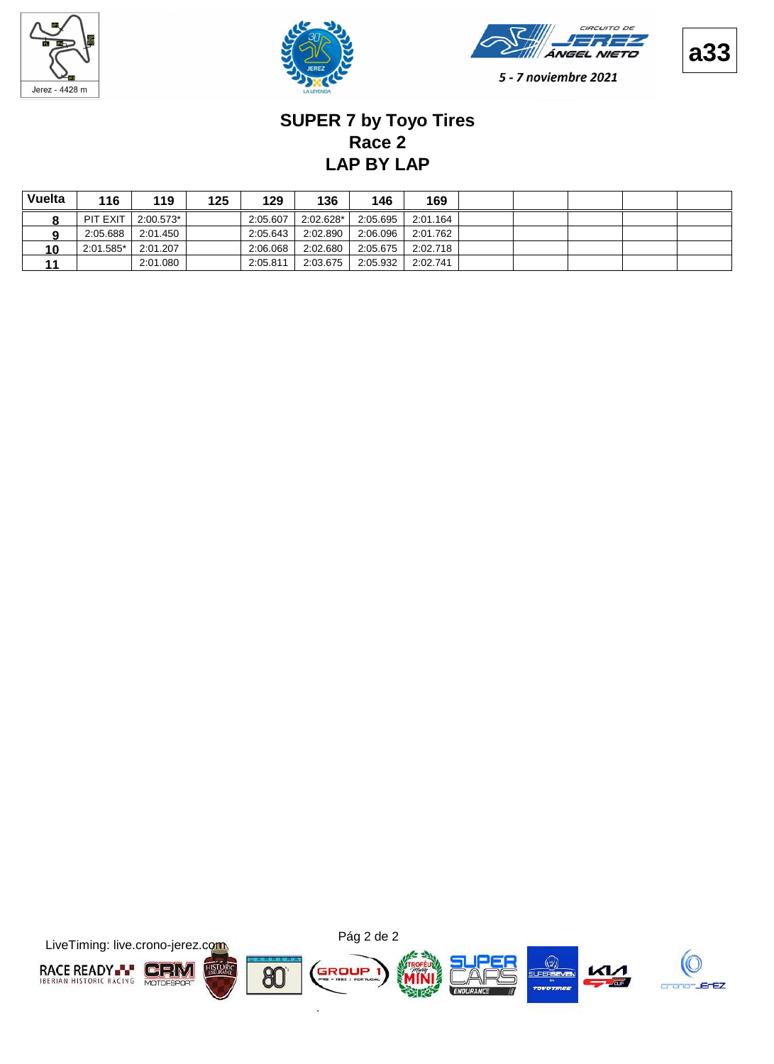







# **LAP BY LAP Race 2 SUPER 7 by Toyo Tires**

| Vuelta | 116       | 119       | 125 | 129      | 136       | 146      | 169      |  |  |  |
|--------|-----------|-----------|-----|----------|-----------|----------|----------|--|--|--|
|        | PIT EXIT  | 2:00.573* |     | 2:05.607 | 2:02.628* | 2:05.695 | 2:01.164 |  |  |  |
|        | 2:05.688  | 2:01.450  |     | 2:05.643 | 2:02.890  | 2:06.096 | 2:01.762 |  |  |  |
| 10     | 2:01.585* | 2:01.207  |     | 2:06.068 | 2:02.680  | 2:05.675 | 2:02.718 |  |  |  |
| 11     |           | 2:01.080  |     | 2:05.811 | 2:03.675  | 2:05.932 | 2:02.741 |  |  |  |

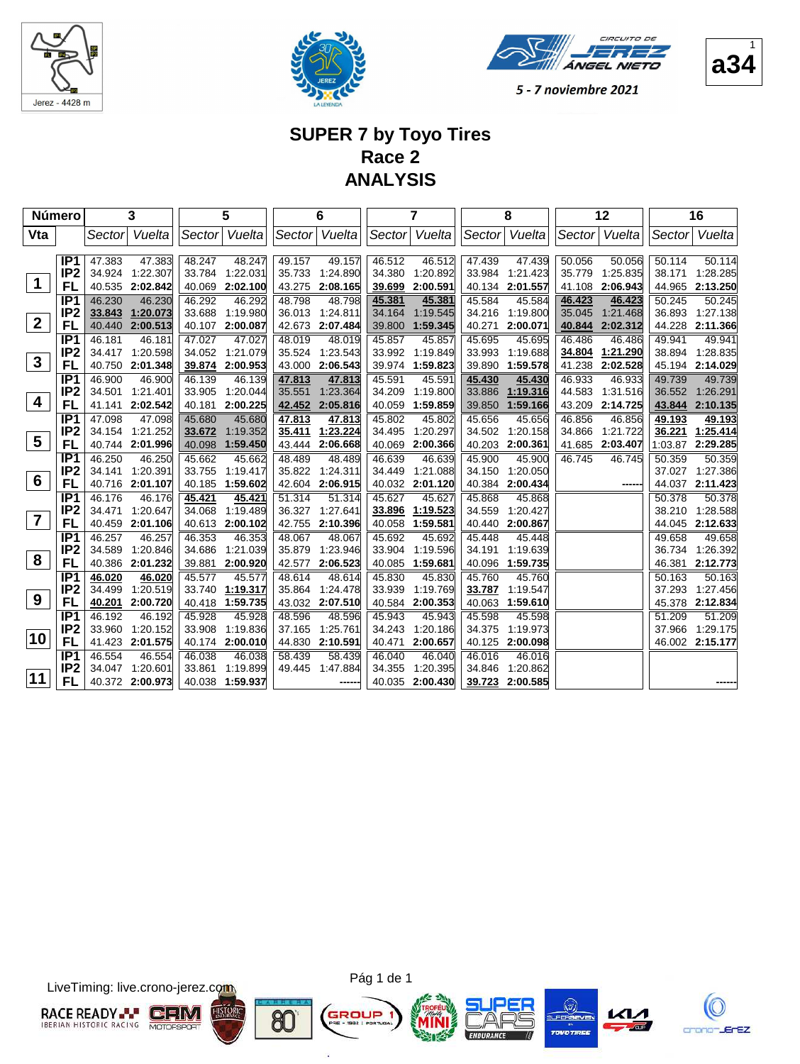





1

5 - 7 noviembre 2021

## **SUPER 7 by Toyo Tires Race 2 ANALYSIS**

| Número          |                                    |                  | 3                    |                  | 5                    |                  | 6                    |                  | 7                    |                  | 8                    |                  | 12                   |                  | 16                   |
|-----------------|------------------------------------|------------------|----------------------|------------------|----------------------|------------------|----------------------|------------------|----------------------|------------------|----------------------|------------------|----------------------|------------------|----------------------|
| Vta             |                                    | Sector           | Vuelta               | Sector           | Vuelta               | Sector           | Vuelta               | Sector           | Vuelta               | Sector           | Vuelta               | Sector           | Vuelta               | Sector           | Vuelta               |
|                 |                                    |                  |                      |                  |                      |                  |                      |                  |                      |                  |                      |                  |                      |                  |                      |
|                 | IP <sub>1</sub><br>IP <sub>2</sub> | 47.383           | 47.383               | 48.247           | 48.247               | 49.157           | 49.157               | 46.512           | 46.512               | 47.439           | 47.439               | 50.056           | 50.056               | 50.114           | 50.114               |
| $\mathbf 1$     | FL                                 | 34.924<br>40.535 | 1:22.307<br>2:02.842 | 33.784<br>40.069 | 1.22.031<br>2:02.100 | 35.733<br>43.275 | 1:24.890<br>2:08.165 | 34.380<br>39.699 | 1:20.892<br>2:00.591 | 33.984<br>40.134 | 1:21.423<br>2:01.557 | 35.779<br>41.108 | 1:25.835<br>2:06.943 | 38.171<br>44.965 | 1:28.285<br>2:13.250 |
|                 | IP <sub>1</sub>                    | 46.230           | 46.230               | 46.292           | 46.292               | 48.798           | 48.798               | 45.381           | 45.381               | 45.584           | 45.584               | 46.423           | 46.423               | 50.245           | 50.245               |
|                 | IP <sub>2</sub>                    | 33.843           | 1:20.073             | 33.688           | 1:19.980             | 36.013           | 1:24.811             | 34.164           | 1:19.545             | 34.216           | 1:19.800             | 35.045           | 1:21.468             | 36.893           | 1:27.138             |
| $\overline{2}$  | <b>FL</b>                          | 40.440           | 2:00.513             | 40.107           | 2:00.087             | 42.673           | 2:07.484             | 39.800           | 1:59.345             | 40.271           | 2:00.071             | 40.844           | 2:02.312             | 44.228           | 2:11.366             |
|                 | IP <sub>1</sub>                    | 46.181           | 46.181               | 47.027           | 47.027               | 48.019           | 48.019               | 45.857           | 45.857               | 45.695           | 45.695               | 46.486           | 46.486               | 49.941           | 49.941               |
|                 | IP <sub>2</sub>                    | 34.417           | 1:20.598             | 34.052           | 1:21.079             | 35.524           | 1:23.543             | 33.992           | 1:19.849             | 33.993           | 1:19.688             | 34.804           | 1:21.290             | 38.894           | 1:28.835             |
| $\mathbf{3}$    | FL                                 | 40.750           | 2:01.348             | 39.874           | 2:00.953             | 43.000           | 2:06.543             | 39.974           | 1:59.823             | 39.890           | 1:59.578             | 41.238           | 2:02.528             | 45.194           | 2:14.029             |
|                 | IP <sub>1</sub>                    | 46.900           | 46.900               | 46.139           | 46.139               | 47.813           | 47.813               | 45.591           | 45.591               | 45.430           | 45.430               | 46.933           | 46.933               | 49.739           | 49.739               |
|                 | IP <sub>2</sub>                    | 34.501           | 1:21.401             | 33.905           | 1.20.044             | 35.551           | 1:23.364             | 34.209           | 1:19.800             | 33.886           | 1:19.316             | 44.583           | 1:31.516             | 36.552           | 1:26.291             |
| 4               | <b>FL</b>                          | 41.141           | 2:02.542             | 40.181           | 2:00.225             | 42.452           | 2:05.816             | 40.059           | 1:59.859             | 39.850           | 1:59.166             | 43.209           | 2:14.725             | 43.844           | 2:10.135             |
|                 | IP <sub>1</sub>                    | 47.098           | 47.098               | 45.680           | 45.680               | 47.813           | 47.813               | 45.802           | 45.802               | 45.656           | 45.656               | 46.856           | 46.856               | 49.193           | 49.193               |
| $5\phantom{.0}$ | IP <sub>2</sub>                    | 34.154           | 1:21.252             | 33.672           | 1:19.352             | 35.411           | 1:23.224             | 34.495           | 1:20.297             | 34.502           | 1:20.158             | 34.866           | 1:21.722             | 36.221           | 1:25.414             |
|                 | FL                                 | 40.744           | 2:01.996             | 40.098           | 1:59.450             | 43.444           | 2:06.668             | 40.069           | 2:00.366             | 40.203           | 2:00.361             | 41.685           | 2:03.407             | 1:03.87          | 2:29.285             |
|                 | IP1                                | 46.250           | 46.250               | 45.662           | 45.662               | 48.489           | 48.489               | 46.639           | 46.639               | 45.900           | 45.900               | 46.745           | 46.745               | 50.359           | 50.359               |
| 6               | IP <sub>2</sub><br>FL              | 34.141           | 1:20.391             | 33.755           | 1:19.417             | 35.822           | 1:24.311             | 34.449           | 1:21.088             | 34.150           | 1:20.050             |                  | ---                  | 37.027           | 1:27.386             |
|                 | IP <sub>1</sub>                    | 40.716<br>46.176 | 2:01.107<br>46.176   | 40.185<br>45.421 | 1:59.602<br>45.421   | 42.604<br>51.314 | 2:06.915<br>51.314   | 40.032<br>45.627 | 2:01.120<br>45.627   | 40.384<br>45.868 | 2:00.434<br>45.868   |                  |                      | 44.037<br>50.378 | 2:11.423<br>50.378   |
|                 | IP <sub>2</sub>                    | 34.471           | 1:20.647             | 34.068           | 1:19.489             | 36.327           | 1:27.641             | 33.896           | 1:19.523             | 34.559           | 1:20.427             |                  |                      | 38.210           | 1:28.588             |
| $\overline{7}$  | FL                                 | 40.459           | 2:01.106             | 40.613           | 2:00.102             | 42.755           | 2:10.396             | 40.058           | 1:59.581             | 40.440           | 2:00.867             |                  |                      | 44.045           | 2:12.633             |
|                 | IP <sub>1</sub>                    | 46.257           | 46.257               | 46.353           | 46.353               | 48.067           | 48.067               | 45.692           | 45.692               | 45.448           | 45.448               |                  |                      | 49.658           | 49.658               |
|                 | IP <sub>2</sub>                    | 34.589           | 1:20.846             | 34.686           | 1:21.039             | 35.879           | 1:23.946             | 33.904           | 1:19.596             | 34.191           | 1:19.639             |                  |                      | 36.734           | 1:26.392             |
| 8               | FL                                 | 40.386           | 2:01.232             | 39.881           | 2:00.920             | 42.577           | 2:06.523             | 40.085           | 1:59.681             | 40.096           | 1:59.735             |                  |                      | 46.381           | 2:12.773             |
|                 | IP <sub>1</sub>                    | 46.020           | 46.020               | 45.577           | 45.577               | 48.614           | 48.614               | 45.830           | 45.830               | 45.760           | 45.760               |                  |                      | 50.163           | 50.163               |
|                 | IP <sub>2</sub>                    | 34.499           | 1:20.519             | 33.740           | 1:19.317             | 35.864           | 1:24.478             | 33.939           | 1:19.769             | 33.787           | 1:19.547             |                  |                      | 37.293           | 1:27.456             |
| 9               | FL                                 | 40.201           | 2:00.720             | 40.418           | 1:59.735             | 43.032           | 2:07.510             | 40.584           | 2:00.353             | 40.063           | 1:59.610             |                  |                      | 45.378           | 2:12.834             |
|                 | IP <sub>1</sub>                    | 46.192           | 46.192               | 45.928           | 45.928               | 48.596           | 48.596               | 45.943           | 45.943               | 45.598           | 45.598               |                  |                      | 51.209           | 51.209               |
| 10              | IP <sub>2</sub>                    | 33.960           | 1:20.152             | 33.908           | 1:19.836             | 37.165           | 1:25.761             | 34.243           | 1:20.186             | 34.375           | 1:19.973             |                  |                      | 37.966           | 1:29.175             |
|                 | FL                                 | 41.423           | 2:01.575             | 40.174           | 2:00.010             | 44.830           | 2:10.591             | 40.471           | 2:00.657             | 40.125           | 2:00.098             |                  |                      |                  | 46.002 2:15.177      |
|                 | IP <sub>1</sub>                    | 46.554           | 46.554               | 46.038           | 46.038               | 58.439           | 58.439               | 46.040           | 46.040               | 46.016           | 46.016               |                  |                      |                  |                      |
| 11              | IP <sub>2</sub>                    | 34.047           | 1:20.601             | 33.861           | 1:19.899             | 49.445           | 1:47.884             | 34.355           | 1:20.395             | 34.846           | 1:20.862             |                  |                      |                  |                      |
|                 | FL                                 |                  | 40.372 2:00.973      | 40.038           | 1:59.937             |                  | -----                | 40.035           | 2:00.430             | 39.723           | 2:00.585             |                  |                      |                  |                      |

LiveTiming: live.crono-jerez.com





ä







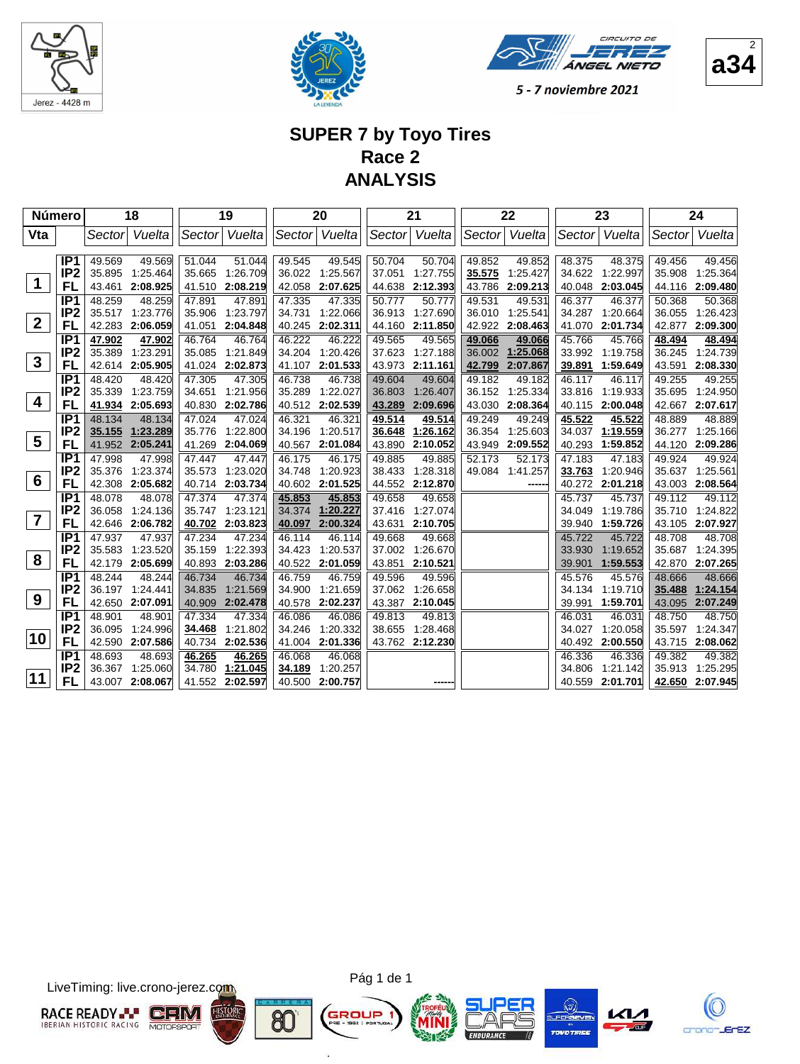





## **SUPER 7 by Toyo Tires Race 2 ANALYSIS**

| <b>Número</b>           |                                    |                  | 18                 |                  | 19                 |                  | 20                 |                  | 21                 |                  | 22                 |                  | 23                 |                  | 24                 |
|-------------------------|------------------------------------|------------------|--------------------|------------------|--------------------|------------------|--------------------|------------------|--------------------|------------------|--------------------|------------------|--------------------|------------------|--------------------|
| Vta                     |                                    | Sectorl          | Vuelta             |                  | Sector Vuelta      |                  | Sector Vuelta      | Sector           | Vuelta             |                  | Sector Vuelta      | Sector           | Vuelta             | Sector           | Vuelta             |
|                         |                                    |                  |                    |                  |                    |                  |                    |                  |                    |                  |                    |                  |                    |                  |                    |
|                         | IP <sub>1</sub><br>IP <sub>2</sub> | 49.569<br>35.895 | 49.569<br>1:25.464 | 51.044<br>35.665 | 51.044<br>1:26.709 | 49.545<br>36.022 | 49.545<br>1:25.567 | 50.704<br>37.051 | 50.704<br>1:27.755 | 49.852<br>35.575 | 49.852<br>1:25.427 | 48.375<br>34.622 | 48.375<br>1:22.997 | 49.456<br>35.908 | 49.456<br>1:25.364 |
| $\blacktriangleleft$    | FL                                 | 43.461           | 2:08.925           | 41.510           | 2:08.219           | 42.058           | 2:07.625           | 44.638           | 2:12.393           | 43.786           | 2:09.213           | 40.048           | 2:03.045           | 44.116           | 2:09.480           |
|                         | IP1                                | 48.259           | 48.259             | 47.891           | 47.891             | 47.335           | 47.335             | 50.777           | 50.777             | 49.531           | 49.531             | 46.377           | 46.377             | 50.368           | 50.368             |
|                         | IP <sub>2</sub>                    | 35.517           | 1:23.776           | 35.906           | 1:23.797           | 34.731           | 1:22.066           | 36.913           | 1:27.690           | 36.010           | 1:25.541           | 34.287           | 1:20.664           | 36.055           | 1:26.423           |
| $\overline{2}$          | FL                                 | 42.283           | 2:06.059           | 41.051           | 2:04.848           | 40.245           | 2:02.311           | 44.160           | 2:11.850           | 42.922           | 2:08.463           | 41.070           | 2:01.734           | 42.877           | 2:09.300           |
|                         | IP <sub>1</sub>                    | 47.902           | 47.902             | 46.764           | 46.764             | 46.222           | 46.222             | 49.565           | 49.565             | 49.066           | 49.066             | 45.766           | 45.766             | 48.494           | 48.494             |
|                         | IP <sub>2</sub>                    | 35.389           | 1:23.291           | 35.085           | 1:21.849           | 34.204           | 1:20.426           | 37.623           | 1:27.188           | 36.002           | 1:25.068           | 33.992           | 1:19.758           | 36.245           | 1:24.739           |
| $\mathbf{3}$            | FL                                 | 42.614           | 2:05.905           | 41.024           | 2:02.873           | 41.107           | 2:01.533           | 43.973           | 2:11.161           | 42.799           | 2:07.867           | 39.891           | 1:59.649           | 43.591           | 2:08.330           |
|                         | IP <sub>1</sub>                    | 48.420           | 48.420             | 47.305           | 47.305             | 46.738           | 46.738             | 49.604           | 49.604             | 49.182           | 49.182             | 46.117           | 46.117             | 49.255           | 49.255             |
|                         | IP <sub>2</sub>                    | 35.339           | 1:23.759           | 34.651           | 1:21.956           | 35.289           | 1:22.027           | 36.803           | 1:26.407           | 36.152           | 1:25.334           | 33.816           | 1:19.933           | 35.695           | 1:24.950           |
| 4                       | FL                                 | 41.934           | 2:05.693           | 40.830           | 2:02.786           | 40.512           | 2:02.539           | 43.289           | 2:09.696           | 43.030           | 2:08.364           | 40.115           | 2:00.048           | 42.667           | 2:07.617           |
|                         | IP <sub>1</sub>                    | 48.134           | 48.134             | 47.024           | 47.024             | 46.321           | 46.321             | 49.514           | 49.514             | 49.249           | 49.249             | 45.522           | 45.522             | 48.889           | 48.889             |
| $5\phantom{.0}$         | IP <sub>2</sub>                    | 35.155           | 1:23.289           | 35.776           | 1:22.800           | 34.196           | 1:20.517           | 36.648           | 1:26.162           | 36.354           | 1:25.603           | 34.037           | 1:19.559           | 36.277           | 1:25.166           |
|                         | FL                                 | 41.952           | 2:05.241           | 41.269           | 2:04.069           | 40.567           | 2:01.084           | 43.890           | 2:10.052           | 43.949           | 2:09.552           | 40.293           | 1:59.852           | 44.120           | 2:09.286           |
|                         | IP <sub>1</sub>                    | 47.998           | 47.998             | 47.447           | 47.447             | 46.175           | 46.175             | 49.885           | 49.885             | 52.173           | 52.173             | 47.183           | 47.183             | 49.924           | 49.924             |
| $6\phantom{1}$          | IP <sub>2</sub><br>FL              | 35.376           | 1:23.374           | 35.573           | 1:23.020           | 34.748           | 1:20.923           | 38.433           | 1:28.318           | 49.084           | 1:41.257           | 33.763           | 1:20.946           | 35.637           | 1:25.561           |
|                         | IP <sub>1</sub>                    | 42.308<br>48.078 | 2:05.682<br>48.078 | 40.714<br>47.374 | 2:03.734<br>47.374 | 40.602<br>45.853 | 2:01.525<br>45.853 | 44.552<br>49.658 | 2:12.870<br>49.658 |                  |                    | 40.272<br>45.737 | 2:01.218<br>45.737 | 43.003<br>49.112 | 2:08.564<br>49.112 |
|                         | IP <sub>2</sub>                    | 36.058           | 1:24.136           | 35.747           | 1:23.121           | 34.374           | 1:20.227           | 37.416           | 1:27.074           |                  |                    | 34.049           | 1:19.786           | 35.710           | 1:24.822           |
| $\overline{\mathbf{7}}$ | FL                                 | 42.646           | 2:06.782           | 40.702           | 2:03.823           | 40.097           | 2:00.324           | 43.631           | 2:10.705           |                  |                    | 39.940           | 1:59.726           | 43.105           | 2:07.927           |
|                         | IP <sub>1</sub>                    | 47.937           | 47.937             | 47.234           | 47.234             | 46.114           | 46.114             | 49.668           | 49.668             |                  |                    | 45.722           | 45.722             | 48.708           | 48.708             |
|                         | IP <sub>2</sub>                    | 35.583           | 1:23.520           | 35.159           | 1:22.393           | 34.423           | 1:20.537           | 37.002           | 1:26.670           |                  |                    | 33.930           | 1:19.652           | 35.687           | 1:24.395           |
| 8                       | FL                                 |                  | 42.179 2:05.699    | 40.893           | 2:03.286           | 40.522           | 2:01.059           | 43.851           | 2:10.521           |                  |                    | 39.901           | 1:59.553           | 42.870           | 2:07.265           |
|                         | IP <sub>1</sub>                    | 48.244           | 48.244             | 46.734           | 46.734             | 46.759           | 46.759             | 49.596           | 49.596             |                  |                    | 45.576           | 45.576             | 48.666           | 48.666             |
|                         | IP <sub>2</sub>                    |                  | 36.197 1:24.441    | 34.835           | 1:21.569           | 34.900           | 1:21.659           | 37.062           | 1:26.658           |                  |                    | 34.134           | 1:19.710           | 35.488           | 1:24.154           |
| 9                       | FL                                 |                  | 42.650 2:07.091    | 40.909           | 2:02.478           | 40.578           | 2:02.237           | 43.387           | 2:10.045           |                  |                    | 39.991           | 1:59.701           | 43.095           | 2:07.249           |
|                         | IP <sub>1</sub>                    | 48.901           | 48.901             | 47.334           | 47.334             | 46.086           | 46.086             | 49.813           | 49.813             |                  |                    | 46.031           | 46.031             | 48.750           | 48.750             |
|                         | IP <sub>2</sub>                    | 36.095           | 1:24.996           | 34.468           | 1:21.802           | 34.246           | 1:20.332           | 38.655           | 1:28.468           |                  |                    | 34.027           | 1:20.058           | 35.597           | 1:24.347           |
| 10                      | FL                                 |                  | 42.590 2:07.586    | 40.734           | 2:02.536           | 41.004           | 2:01.336           |                  | 43.762 2:12.230    |                  |                    | 40.492           | 2:00.550           | 43.715           | 2:08.062           |
|                         | IP <sub>1</sub>                    | 48.693           | 48.693             | 46.265           | 46.265             | 46.068           | 46.068             |                  |                    |                  |                    | 46.336           | 46.336             | 49.382           | 49.382             |
| 11                      | IP <sub>2</sub>                    | 36.367           | 1:25.060           | 34.780           | 1:21.045           | 34.189           | 1:20.257           |                  |                    |                  |                    | 34.806           | 1:21.142           | 35.913           | 1:25.295           |
|                         | FL                                 |                  | 43.007 2:08.067    |                  | 41.552 2:02.597    | 40.500           | 2:00.757           |                  |                    |                  |                    | 40.559           | 2:01.701           | 42.650           | 2:07.945           |

LiveTiming: live.crono-jerez.com



Pág 1 de 1

G

ä









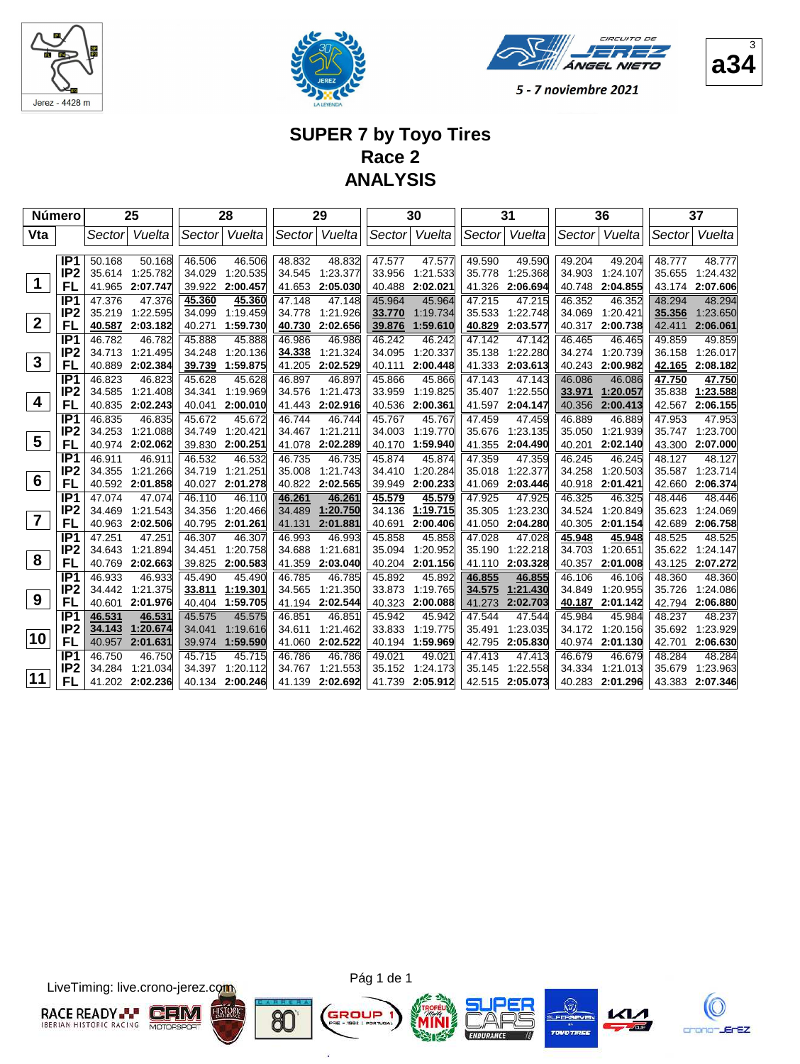





3

5 - 7 noviembre 2021

## **SUPER 7 by Toyo Tires Race 2 ANALYSIS**

| <b>Número</b>           |                       |                  | 25                 |                  | 28                   |                  | 29                   |                  | 30                 |                  | 31                 |                  | 36                   |                  | 37                        |
|-------------------------|-----------------------|------------------|--------------------|------------------|----------------------|------------------|----------------------|------------------|--------------------|------------------|--------------------|------------------|----------------------|------------------|---------------------------|
| Vta                     |                       | Sector           | Vuelta             | Sector           | Vuelta               | Sector           | Vuelta               | Sector           | Vuelta             | Sector           | Vuelta             | Sector           | Vuelta               | Sector           | Vuelta                    |
|                         |                       |                  |                    |                  |                      |                  |                      |                  |                    |                  |                    |                  |                      |                  |                           |
|                         | IP <sub>1</sub>       | 50.168           | 50.168             | 46.506           | 46.506               | 48.832           | 48.832               | 47.577           | 47.577             | 49.590           | 49.590             | 49.204           | 49.204               | 48.777           | 48.777                    |
| $\mathbf 1$             | IP <sub>2</sub>       | 35.614<br>41.965 | 1:25.782           | 34.029<br>39.922 | 1:20.535<br>2:00.457 | 34.545<br>41.653 | 1:23.377<br>2:05.030 | 33.956<br>40.488 | 1:21.533           | 35.778           | 1:25.368           | 34.903<br>40.748 | 1:24.107<br>2:04.855 | 35.655           | 1:24.432                  |
|                         | FL<br>IP <sub>1</sub> |                  | 2:07.747           |                  |                      | 47.148           | 47.148               |                  | 2:02.021<br>45.964 | 41.326<br>47.215 | 2:06.694<br>47.215 | 46.352           | 46.352               | 48.294           | 43.174 2:07.606<br>48.294 |
|                         | IP <sub>2</sub>       | 47.376<br>35.219 | 47.376<br>1:22.595 | 45.360<br>34.099 | 45.360<br>1:19.459   | 34.778           | 1:21.926             | 45.964<br>33.770 | 1:19.734           | 35.533           | 1:22.748           | 34.069           | 1:20.421             | 35.356           | 1:23.650                  |
| $\overline{2}$          | FL                    | 40.587           | 2:03.182           | 40.271           | 1:59.730             | 40.730           | 2:02.656             | 39.876           | 1:59.610           | 40.829           | 2:03.577           | 40.317           | 2:00.738             | 42.411           | 2:06.061                  |
|                         | IP <sub>1</sub>       | 46.782           | 46.782             | 45.888           | 45.888               | 46.986           | 46.986               | 46.242           | 46.242             | 47.142           | 47.142             | 46.465           | 46.465               | 49.859           | 49.859                    |
|                         | IP <sub>2</sub>       | 34.713           | 1:21.495           | 34.248           | 1:20.136             | 34.338           | 1:21.324             | 34.095           | 1:20.337           | 35.138           | 1:22.280           | 34.274           | 1:20.739             | 36.158           | 1:26.017                  |
| $\mathbf{3}$            | FL                    | 40.889           | 2:02.384           | 39.739           | 1:59.875             | 41.205           | 2:02.529             | 40.111           | 2:00.448           | 41.333           | 2:03.613           | 40.243           | 2:00.982             | 42.165           | 2:08.182                  |
|                         | IP <sub>1</sub>       | 46.823           | 46.823             | 45.628           | 45.628               | 46.897           | 46.897               | 45.866           | 45.866             | 47.143           | 47.143             | 46.086           | 46.086               | 47.750           | 47.750                    |
|                         | IP <sub>2</sub>       | 34.585           | 1:21.408           | 34.341           | 1:19.969             | 34.576           | 1:21.473             | 33.959           | 1:19.825           | 35.407           | 1:22.550           | 33.971           | 1:20.057             | 35.838           | 1:23.588                  |
| $\boldsymbol{4}$        | FL                    | 40.835           | 2:02.243           | 40.041           | 2:00.010             | 41.443           | 2:02.916             | 40.536           | 2:00.361           | 41.597           | 2:04.147           | 40.356           | 2:00.413             | 42.567           | 2:06.155                  |
|                         | IP <sub>1</sub>       | 46.835           | 46.835             | 45.672           | 45.672               | 46.744           | 46.744               | 45.767           | 45.767             | 47.459           | 47.459             | 46.889           | 46.889               | 47.953           | 47.953                    |
|                         | IP <sub>2</sub>       | 34.253           | 1:21.088           | 34.749           | 1:20.421             | 34.467           | 1:21.211             | 34.003           | 1:19.770           | 35.676           | 1:23.135           | 35.050           | 1:21.939             | 35.747           | 1:23.700                  |
| $\overline{\mathbf{5}}$ | FL                    | 40.974           | 2:02.062           | 39.830           | 2:00.251             | 41.078           | 2:02.289             | 40.170           | 1:59.940           | 41.355           | 2:04.490           | 40.201           | 2:02.140             | 43.300           | 2:07.000                  |
|                         | IP <sub>1</sub>       | 46.911           | 46.911             | 46.532           | 46.532               | 46.735           | 46.735               | 45.874           | 45.874             | 47.359           | 47.359             | 46.245           | 46.245               | 48.127           | 48.127                    |
| $6\phantom{1}6$         | IP <sub>2</sub>       | 34.355           | 1:21.266           | 34.719           | 1:21.251             | 35.008           | 1:21.743             | 34.410           | 1:20.284           | 35.018           | 1:22.377           | 34.258           | 1:20.503             | 35.587           | 1:23.714                  |
|                         | FL                    | 40.592           | 2:01.858           | 40.027           | 2:01.278             | 40.822           | 2:02.565             | 39.949           | 2:00.233           | 41.069           | 2:03.446           | 40.918           | 2:01.421             | 42.660           | 2:06.374                  |
|                         | IP <sub>1</sub>       | 47.074           | 47.074             | 46.110           | 46.110               | 46.261           | 46.261               | 45.579           | 45.579             | 47.925           | 47.925             | 46.325           | 46.325               | 48.446           | 48.446                    |
| $\overline{7}$          | IP <sub>2</sub>       | 34.469           | 1:21.543           | 34.356           | 1:20.466             | 34.489           | 1:20.750             | 34.136           | 1:19.715           | 35.305           | 1:23.230           | 34.524           | 1:20.849             | 35.623           | 1:24.069                  |
|                         | FL<br>IP <sub>1</sub> | 40.963<br>47.251 | 2:02.506<br>47.251 | 40.795<br>46.307 | 2:01.261<br>46.307   | 41.131<br>46.993 | 2:01.881<br>46.993   | 40.691<br>45.858 | 2:00.406<br>45.858 | 41.050<br>47.028 | 2:04.280           | 40.305           | 2:01.154             | 42.689<br>48.525 | 2:06.758<br>48.525        |
|                         | IP <sub>2</sub>       | 34.643           | 1:21.894           | 34.451           | 1:20.758             | 34.688           | 1:21.681             | 35.094           | 1:20.952           | 35.190           | 47.028<br>1:22.218 | 45.948<br>34.703 | 45.948<br>1:20.651   | 35.622           | 1:24.147                  |
| 8                       | FL                    | 40.769           | 2:02.663           | 39.825           | 2:00.583             | 41.359           | 2:03.040             | 40.204           | 2:01.156           | 41.110           | 2:03.328           | 40.357           | 2:01.008             | 43.125           | 2:07.272                  |
|                         | IP <sub>1</sub>       | 46.933           | 46.933             | 45.490           | 45.490               | 46.785           | 46.785               | 45.892           | 45.892             | 46.855           | 46.855             | 46.106           | 46.106               | 48.360           | 48.360                    |
|                         | IP <sub>2</sub>       | 34.442           | 1:21.375           | 33.811           | 1:19.301             | 34.565           | 1:21.350             | 33.873           | 1:19.765           | 34.575           | 1:21.430           | 34.849           | 1:20.955             | 35.726           | 1:24.086                  |
| 9                       | FL                    | 40.601           | 2:01.976           | 40.404           | 1:59.705             | 41.194           | 2:02.544             | 40.323           | 2:00.088           | 41.273           | 2:02.703           | 40.187           | 2:01.142             | 42.794           | 2:06.880                  |
|                         | IP <sub>1</sub>       | 46.531           | 46.531             | 45.575           | 45.575               | 46.851           | 46.851               | 45.942           | 45.942             | 47.544           | 47.544             | 45.984           | 45.984               | 48.237           | 48.237                    |
|                         | IP <sub>2</sub>       | 34.143           | 1:20.674           | 34.041           | 1:19.616             | 34.611           | 1:21.462             | 33.833           | 1:19.775           | 35.491           | 1:23.035           | 34.172           | 1:20.156             | 35.692           | 1:23.929                  |
| 10                      | FL                    | 40.957           | 2:01.631           | 39.974           | 1:59.590             | 41.060           | 2:02.522             | 40.194           | 1:59.969           | 42.795           | 2:05.830           | 40.974           | 2:01.130             | 42.701           | 2:06.630                  |
|                         | IP <sub>1</sub>       | 46.750           | 46.750             | 45.715           | 45.715               | 46.786           | 46.786               | 49.021           | 49.021             | 47.413           | 47.413             | 46.679           | 46.679               | 48.284           | 48.284                    |
|                         | IP <sub>2</sub>       | 34.284           | 1:21.034           | 34.397           | 1:20.112             | 34.767           | 1:21.553             | 35.152           | 1:24.173           | 35.145           | 1:22.558           | 34.334           | 1:21.013             | 35.679           | 1:23.963                  |
| 11                      | FL                    | 41.202           | 2:02.236           | 40.134           | 2:00.246             | 41.139           | 2:02.692             | 41.739           | 2:05.912           | 42.515           | 2:05.073           | 40.283           | 2:01.296             | 43.383           | 2:07.346                  |

LiveTiming: live.crono-jerez.com



Pág 1 de 1

G

ä







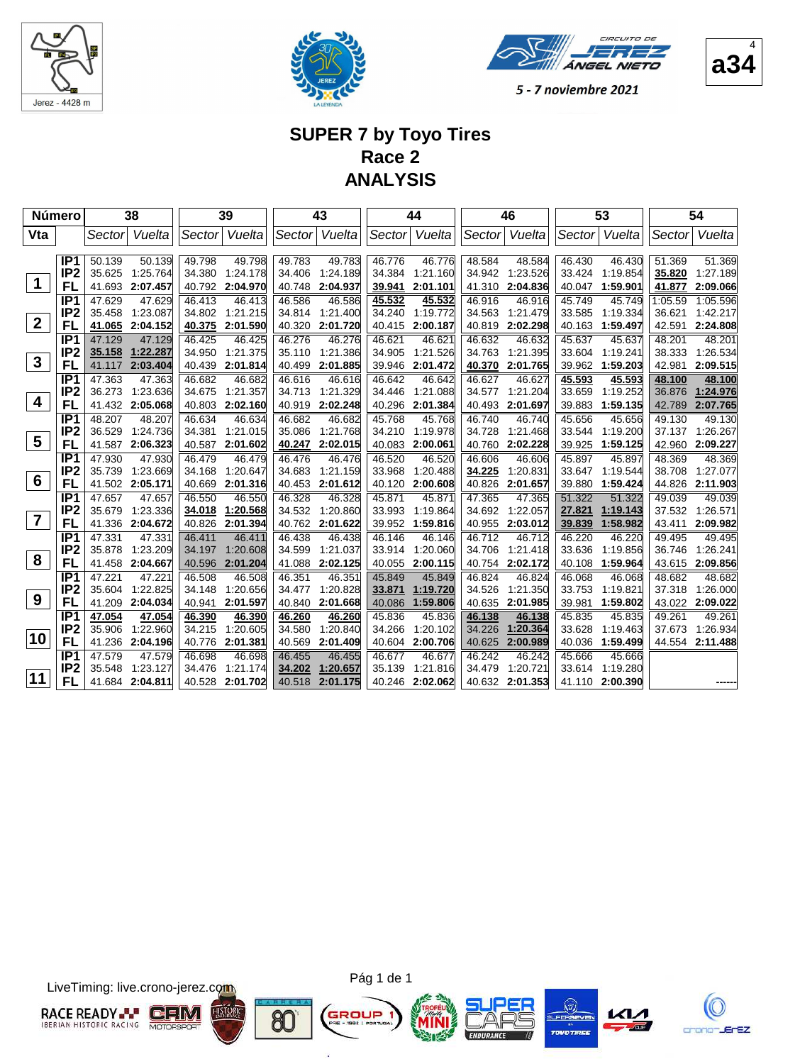





4

5 - 7 noviembre 2021

## **SUPER 7 by Toyo Tires Race 2 ANALYSIS**

|                         | Número                             |                  | 38                   |                  | 39                   |                  | 43                   |                  | 44                   |                  | 46                 |                  | 53                   |                  | 54                 |
|-------------------------|------------------------------------|------------------|----------------------|------------------|----------------------|------------------|----------------------|------------------|----------------------|------------------|--------------------|------------------|----------------------|------------------|--------------------|
| Vta                     |                                    | Sectorl          | Vuelta               | Sector           | Vuelta               | Sector           | Vuelta               | Sector           | Vuelta               | Sector           | Vuelta             | Sector           | Vuelta               | Sector           | Vuelta             |
|                         |                                    |                  |                      |                  |                      |                  |                      |                  |                      |                  |                    |                  |                      |                  |                    |
|                         | IP <sub>1</sub><br>IP <sub>2</sub> | 50.139<br>35.625 | 50.139<br>1:25.764   | 49.798<br>34.380 | 49.798<br>1:24.178   | 49.783<br>34.406 | 49.783<br>1:24.189   | 46.776<br>34.384 | 46.776<br>1:21.160   | 48.584<br>34.942 | 48.584<br>1:23.526 | 46.430<br>33.424 | 46.430<br>1:19.854   | 51.369<br>35.820 | 51.369<br>1:27.189 |
| $\mathbf 1$             | FL                                 |                  | 41.693 2:07.457      | 40.792           | 2:04.970             | 40.748           | 2:04.937             | 39.941           | 2:01.101             | 41.310           | 2:04.836           | 40.047           | 1:59.901             | 41.877           | 2:09.066           |
|                         | IP1                                | 47.629           | 47.629               | 46.413           | 46.413               | 46.586           | 46.586               | 45.532           | 45.532               | 46.916           | 46.916             | 45.749           | 45.749               | 1:05.59          | 1:05.596           |
|                         | IP <sub>2</sub>                    | 35.458           | 1:23.087             | 34.802           | 1:21.215             | 34.814           | 1:21.400             | 34.240           | 1:19.772             | 34.563           | 1:21.479           | 33.585           | 1:19.334             | 36.621           | 1:42.217           |
| $\overline{2}$          | FL                                 | 41.065           | 2:04.152             | 40.375           | 2:01.590             | 40.320           | 2:01.720             | 40.415           | 2:00.187             | 40.819           | 2:02.298           | 40.163           | 1:59.497             | 42.591           | 2:24.808           |
|                         | IP <sub>1</sub>                    | 47.129           | 47.129               | 46.425           | 46.425               | 46.276           | 46.276               | 46.621           | 46.621               | 46.632           | 46.632             | 45.637           | 45.637               | 48.201           | 48.201             |
|                         | IP <sub>2</sub>                    | 35.158           | 1:22.287             | 34.950           | 1:21.375             | 35.110           | 1:21.386             | 34.905           | 1:21.526             | 34.763           | 1:21.395           | 33.604           | 1:19.241             | 38.333           | 1:26.534           |
| $\mathbf{3}$            | FL                                 | 41.117           | 2:03.404             | 40.439           | 2:01.814             | 40.499           | 2:01.885             | 39.946           | 2:01.472             | 40.370           | 2:01.765           | 39.962           | 1:59.203             | 42.981           | 2:09.515           |
|                         | IP <sub>1</sub>                    | 47.363           | 47.363               | 46.682           | 46.682               | 46.616           | 46.616               | 46.642           | 46.642               | 46.627           | 46.627             | 45.593           | 45.593               | 48.100           | 48.100             |
| $\overline{\mathbf{4}}$ | IP <sub>2</sub>                    | 36.273           | 1:23.636             | 34.675           | 1:21.357             | 34.713           | 1:21.329             | 34.446           | 1:21.088             | 34.577           | 1:21.204           | 33.659           | 1:19.252             | 36.876           | 1:24.976           |
|                         | FL                                 |                  | 41.432 2:05.068      | 40.803           | 2:02.160             | 40.919           | 2:02.248             | 40.296           | 2:01.384             | 40.493           | 2:01.697           | 39.883           | 1:59.135             | 42.789           | 2:07.765           |
|                         | IP <sub>1</sub>                    | 48.207           | 48.207               | 46.634           | 46.634               | 46.682           | 46.682               | 45.768           | 45.768               | 46.740           | 46.740             | 45.656           | 45.656               | 49.130           | 49.130             |
| $5\phantom{1}$          | IP <sub>2</sub>                    | 36.529           | 1:24.736             | 34.381           | 1:21.015             | 35.086           | 1:21.768             | 34.210           | 1:19.978             | 34.728           | 1:21.468           | 33.544           | 1:19.200             | 37.137           | 1:26.267           |
|                         | FL                                 | 41.587           | 2:06.323             | 40.587           | 2:01.602             | 40.247           | 2:02.015             | 40.083           | 2:00.061             | 40.760           | 2:02.228           | 39.925           | 1:59.125             | 42.960           | 2:09.227           |
|                         | IP <sub>1</sub>                    | 47.930           | 47.930               | 46.479           | 46.479               | 46.476           | 46.476               | 46.520           | 46.520               | 46.606           | 46.606             | 45.897           | 45.897               | 48.369           | 48.369             |
| $6\phantom{1}6$         | IP <sub>2</sub>                    | 35.739           | 1:23.669             | 34.168           | 1:20.647             | 34.683           | 1:21.159             | 33.968           | 1:20.488             | 34.225           | 1:20.831           | 33.647           | 1:19.544             | 38.708           | 1:27.077           |
|                         | FL                                 |                  | 41.502 2:05.171      | 40.669           | 2:01.316             | 40.453           | 2:01.612             | 40.120           | 2:00.608             | 40.826           | 2:01.657           | 39.880           | 1:59.424             | 44.826           | 2:11.903           |
|                         | IP <sub>1</sub>                    | 47.657           | 47.657               | 46.550           | 46.550               | 46.328           | 46.328               | 45.871           | 45.871               | 47.365           | 47.365             | 51.322           | 51.322               | 49.039           | 49.039             |
| $\overline{7}$          | IP <sub>2</sub>                    | 35.679           | 1:23.336<br>2:04.672 | 34.018           | 1:20.568<br>2:01.394 | 34.532<br>40.762 | 1:20.860<br>2:01.622 | 33.993<br>39.952 | 1:19.864<br>1:59.816 | 34.692           | 1:22.057           | 27.821           | 1:19.143<br>1:58.982 | 37.532           | 1:26.571           |
|                         | FL<br>IP <sub>1</sub>              | 41.336           |                      | 40.826<br>46.411 | 46.411               | 46.438           | 46.438               | 46.146           | 46.146               | 40.955<br>46.712 | 2:03.012<br>46.712 | 39.839           | 46.220               | 43.411<br>49.495 | 2:09.982<br>49.495 |
|                         | IP <sub>2</sub>                    | 47.331<br>35.878 | 47.331<br>1:23.209   | 34.197           | 1:20.608             | 34.599           | 1:21.037             | 33.914           | 1:20.060             | 34.706           | 1:21.418           | 46.220<br>33.636 | 1:19.856             | 36.746           | 1:26.241           |
| 8                       | FL                                 | 41.458           | 2:04.667             | 40.596           | 2:01.204             | 41.088           | 2:02.125             | 40.055           | 2:00.115             | 40.754           | 2:02.172           | 40.108           | 1:59.964             | 43.615           | 2:09.856           |
|                         | IP <sub>1</sub>                    | 47.221           | 47.221               | 46.508           | 46.508               | 46.351           | 46.351               | 45.849           | 45.849               | 46.824           | 46.824             | 46.068           | 46.068               | 48.682           | 48.682             |
|                         | IP <sub>2</sub>                    | 35.604           | 1:22.825             | 34.148           | 1:20.656             | 34.477           | 1:20.828             | 33.871           | 1:19.720             | 34.526           | 1:21.350           | 33.753           | 1:19.821             | 37.318           | 1:26.000           |
| 9                       | FL                                 | 41.209           | 2:04.034             | 40.941           | 2:01.597             | 40.840           | 2:01.668             | 40.086           | 1:59.806             | 40.635           | 2:01.985           | 39.981           | 1:59.802             | 43.022           | 2:09.022           |
|                         | IP <sub>1</sub>                    | 47.054           | 47.054               | 46.390           | 46.390               | 46.260           | 46.260               | 45.836           | 45.836               | 46.138           | 46.138             | 45.835           | 45.835               | 49.261           | 49.261             |
|                         | IP <sub>2</sub>                    | 35.906           | 1:22.960             | 34.215           | 1:20.605             | 34.580           | 1:20.840             | 34.266           | 1:20.102             | 34.226           | 1:20.364           | 33.628           | 1:19.463             | 37.673           | 1:26.934           |
| 10                      | FL                                 | 41.236           | 2:04.196             | 40.776           | 2:01.381             | 40.569           | 2:01.409             | 40.604           | 2:00.706             | 40.625           | 2:00.989           | 40.036           | 1:59.499             |                  | 44.554 2:11.488    |
|                         | IP <sub>1</sub>                    | 47.579           | 47.579               | 46.698           | 46.698               | 46.455           | 46.455               | 46.677           | 46.677               | 46.242           | 46.242             | 45.666           | 45.666               |                  |                    |
|                         | IP2                                | 35.548           | 1:23.127             | 34.476           | 1:21.174             | 34.202           | 1:20.657             | 35.139           | 1:21.816             | 34.479           | 1:20.721           | 33.614           | 1:19.280             |                  |                    |
| 11                      | FL                                 | 41.684           | 2:04.811             | 40.528           | 2:01.702             | 40.518           | 2:01.175             | 40.246           | 2:02.062             | 40.632           | 2:01.353           | 41.110           | 2:00.390             |                  |                    |

LiveTiming: live.crono-jerez.com



Pág 1 de 1

G

ä







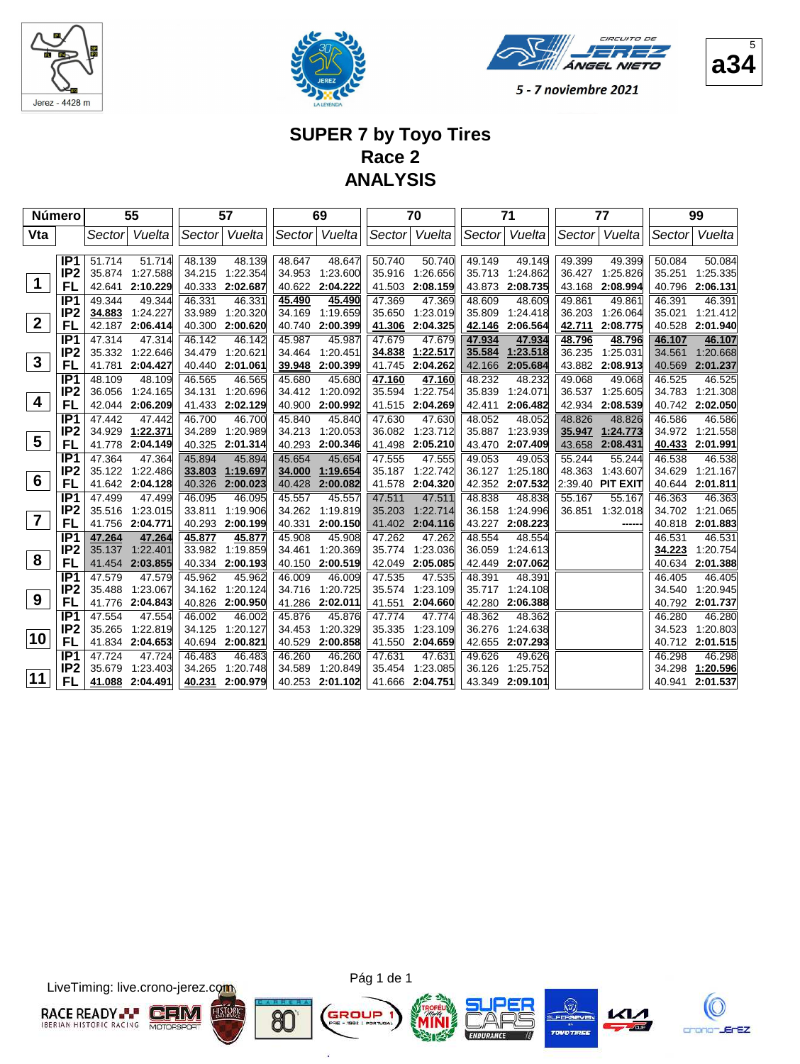





5

5 - 7 noviembre 2021

## **SUPER 7 by Toyo Tires Race 2 ANALYSIS**

| Número               |                       |                  | 55                   |                  | 57                 |                  | 69                 |                  | 70                 |                  | 71                 |                  | 77                 |                  | 99                 |
|----------------------|-----------------------|------------------|----------------------|------------------|--------------------|------------------|--------------------|------------------|--------------------|------------------|--------------------|------------------|--------------------|------------------|--------------------|
| Vta                  |                       | Sector           | Vuelta               |                  | Sector Vuelta      | Sector           | Vuelta             | Sector           | Vuelta             | Sector           | Vuelta             | Sector           | Vuelta             | Sector           | Vuelta             |
|                      |                       |                  |                      |                  |                    |                  |                    |                  |                    |                  |                    |                  |                    |                  |                    |
|                      | IP <sub>1</sub>       | 51.714           | 51.714               | 48.139           | 48.139             | 48.647           | 48.647             | 50.740           | 50.740             | 49.149           | 49.149             | 49.399           | 49.399             | 50.084           | 50.084             |
| $\blacktriangleleft$ | IP <sub>2</sub>       | 35.874<br>42.641 | 1:27.588<br>2:10.229 | 34.215           | 1:22.354           | 34.953           | 1:23.600           | 35.916           | 1:26.656           | 35.713           | 1:24.862           | 36.427           | 1:25.826           | 35.251           | 1:25.335           |
|                      | FL<br>IP <sub>1</sub> | 49.344           |                      | 40.333<br>46.331 | 2:02.687<br>46.331 | 40.622           | 2:04.222           | 41.503           | 2:08.159<br>47.369 | 43.873<br>48.609 | 2:08.735<br>48.609 | 43.168<br>49.861 | 2:08.994<br>49.861 | 40.796<br>46.391 | 2:06.131<br>46.391 |
|                      | IP <sub>2</sub>       | 34.883           | 49.344<br>1:24.227   | 33.989           | 1:20.320           | 45.490<br>34.169 | 45.490<br>1:19.659 | 47.369<br>35.650 | 1:23.019           | 35.809           | 1:24.418           | 36.203           | 1:26.064           | 35.021           | 1:21.412           |
| $\mathbf{2}$         | FL                    | 42.187           | 2:06.414             | 40.300           | 2:00.620           | 40.740           | 2:00.399           | 41.306           | 2:04.325           | 42.146           | 2:06.564           | 42.711           | 2:08.775           | 40.528           | 2:01.940           |
|                      | IP <sub>1</sub>       | 47.314           | 47.314               | 46.142           | 46.142             | 45.987           | 45.987             | 47.679           | 47.679             | 47.934           | 47.934             | 48.796           | 48.796             | 46.107           | 46.107             |
|                      | IP <sub>2</sub>       | 35.332           | 1:22.646             | 34.479           | 1:20.621           | 34.464           | 1:20.451           | 34.838           | 1:22.517           | 35.584           | 1:23.518           | 36.235           | 1:25.031           | 34.561           | 1:20.668           |
| $\mathbf{3}$         | FL                    | 41.781           | 2:04.427             | 40.440           | 2:01.061           | 39.948           | 2:00.399           | 41.745           | 2:04.262           | 42.166           | 2:05.684           | 43.882           | 2:08.913           | 40.569           | 2:01.237           |
|                      | IP <sub>1</sub>       | 48.109           | 48.109               | 46.565           | 46.565             | 45.680           | 45.680             | 47.160           | 47.160             | 48.232           | 48.232             | 49.068           | 49.068             | 46.525           | 46.525             |
|                      | IP <sub>2</sub>       | 36.056           | 1:24.165             | 34.131           | 1:20.696           | 34.412           | 1:20.092           | 35.594           | 1:22.754           | 35.839           | 1:24.071           | 36.537           | 1:25.605           | 34.783           | 1:21.308           |
| 4                    | FL                    | 42.044           | 2:06.209             | 41.433           | 2:02.129           | 40.900           | 2:00.992           | 41.515           | 2:04.269           | 42.411           | 2:06.482           | 42.934           | 2:08.539           | 40.742           | 2:02.050           |
|                      | IP <sub>1</sub>       | 47.442           | 47.442               | 46.700           | 46.700             | 45.840           | 45.840             | 47.630           | 47.630             | 48.052           | 48.052             | 48.826           | 48.826             | 46.586           | 46.586             |
|                      | IP <sub>2</sub>       | 34.929           | 1:22.371             | 34.289           | 1:20.989           | 34.213           | 1:20.053           | 36.082           | 1:23.712           | 35.887           | 1:23.939           | 35.947           | 1:24.773           | 34.972           | 1:21.558           |
| $5\phantom{.0}$      | <b>FL</b>             | 41.778           | 2:04.149             | 40.325           | 2:01.314           | 40.293           | 2:00.346           | 41.498           | 2:05.210           | 43.470           | 2:07.409           | 43.658           | 2:08.431           | 40.433           | 2:01.991           |
|                      | IP <sub>1</sub>       | 47.364           | 47.364               | 45.894           | 45.894             | 45.654           | 45.654             | 47.555           | 47.555             | 49.053           | 49.053             | 55.244           | 55.244             | 46.538           | 46.538             |
|                      | IP <sub>2</sub>       | 35.122           | 1:22.486             | 33.803           | 1:19.697           | 34.000           | 1:19.654           | 35.187           | 1:22.742           | 36.127           | 1:25.180           | 48.363           | 1:43.607           | 34.629           | 1:21.167           |
| 6                    | FL                    | 41.642           | 2:04.128             | 40.326           | 2:00.023           | 40.428           | 2:00.082           | 41.578           | 2:04.320           | 42.352           | 2:07.532           | 2:39.40          | <b>PIT EXIT</b>    | 40.644           | 2:01.811           |
|                      | IP <sub>1</sub>       | 47.499           | 47.499               | 46.095           | 46.095             | 45.557           | 45.557             | 47.511           | 47.511             | 48.838           | 48.838             | 55.167           | 55.167             | 46.363           | 46.363             |
| $\overline{7}$       | IP <sub>2</sub>       | 35.516           | 1:23.015             | 33.811           | 1:19.906           | 34.262           | 1:19.819           | 35.203           | 1:22.714           | 36.158           | 1:24.996           | 36.851           | 1:32.018           | 34.702           | 1:21.065           |
|                      | FL                    | 41.756           | 2:04.771             | 40.293           | 2:00.199           | 40.331           | 2:00.150           | 41.402           | 2:04.116           | 43.227           | 2:08.223           |                  |                    | 40.818           | 2:01.883           |
|                      | IP <sub>1</sub>       | 47.264           | 47.264               | 45.877           | 45.877             | 45.908           | 45.908             | 47.262           | 47.262             | 48.554           | 48.554             |                  |                    | 46.531           | 46.531             |
| 8                    | IP <sub>2</sub><br>FL | 35.137           | 1:22.401             | 33.982           | 1:19.859           | 34.461           | 1:20.369           | 35.774           | 1:23.036           | 36.059           | 1:24.613           |                  |                    | 34.223           | 1:20.754           |
|                      | IP <sub>1</sub>       | 41.454           | 2:03.855             | 40.334<br>45.962 | 2:00.193<br>45.962 | 40.150           | 2:00.519<br>46.009 | 42.049<br>47.535 | 2:05.085           | 42.449<br>48.391 | 2:07.062<br>48.391 |                  |                    | 40.634<br>46.405 | 2:01.388<br>46.405 |
|                      | IP <sub>2</sub>       | 47.579<br>35.488 | 47.579<br>1:23.067   | 34.162           | 1:20.124           | 46.009<br>34.716 | 1:20.725           | 35.574           | 47.535<br>1:23.109 | 35.717           | 1:24.108           |                  |                    | 34.540           | 1:20.945           |
| 9                    | FL                    | 41.776           | 2:04.843             | 40.826           | 2:00.950           | 41.286           | 2:02.011           | 41.551           | 2:04.660           | 42.280           | 2:06.388           |                  |                    | 40.792           | 2:01.737           |
|                      | IP <sub>1</sub>       | 47.554           | 47.554               | 46.002           | 46.002             | 45.876           | 45.876             | 47.774           | 47.774             | 48.362           | 48.362             |                  |                    | 46.280           | 46.280             |
|                      | IP <sub>2</sub>       | 35.265           | 1:22.819             | 34.125           | 1:20.127           | 34.453           | 1:20.329           | 35.335           | 1:23.109           | 36.276           | 1:24.638           |                  |                    | 34.523           | 1:20.803           |
| 10                   | FL                    | 41.834           | 2:04.653             | 40.694           | 2:00.821           | 40.529           | 2:00.858           | 41.550           | 2:04.659           | 42.655           | 2:07.293           |                  |                    | 40.712           | 2:01.515           |
|                      | IP <sub>1</sub>       | 47.724           | 47.724               | 46.483           | 46.483             | 46.260           | 46.260             | 47.631           | 47.631             | 49.626           | 49.626             |                  |                    | 46.298           | 46.298             |
|                      | IP <sub>2</sub>       | 35.679           | 1:23.403             | 34.265           | 1:20.748           | 34.589           | 1:20.849           | 35.454           | 1:23.085           | 36.126           | 1:25.752           |                  |                    | 34.298           | 1:20.596           |
| 11                   | FL                    | 41.088           | 2:04.491             | 40.231           | 2:00.979           | 40.253           | 2:01.102           | 41.666           | 2:04.751           | 43.349           | 2:09.101           |                  |                    | 40.941           | 2:01.537           |
|                      |                       |                  |                      |                  |                    |                  |                    |                  |                    |                  |                    |                  |                    |                  |                    |

LiveTiming: live.crono-jerez.com





G

ä







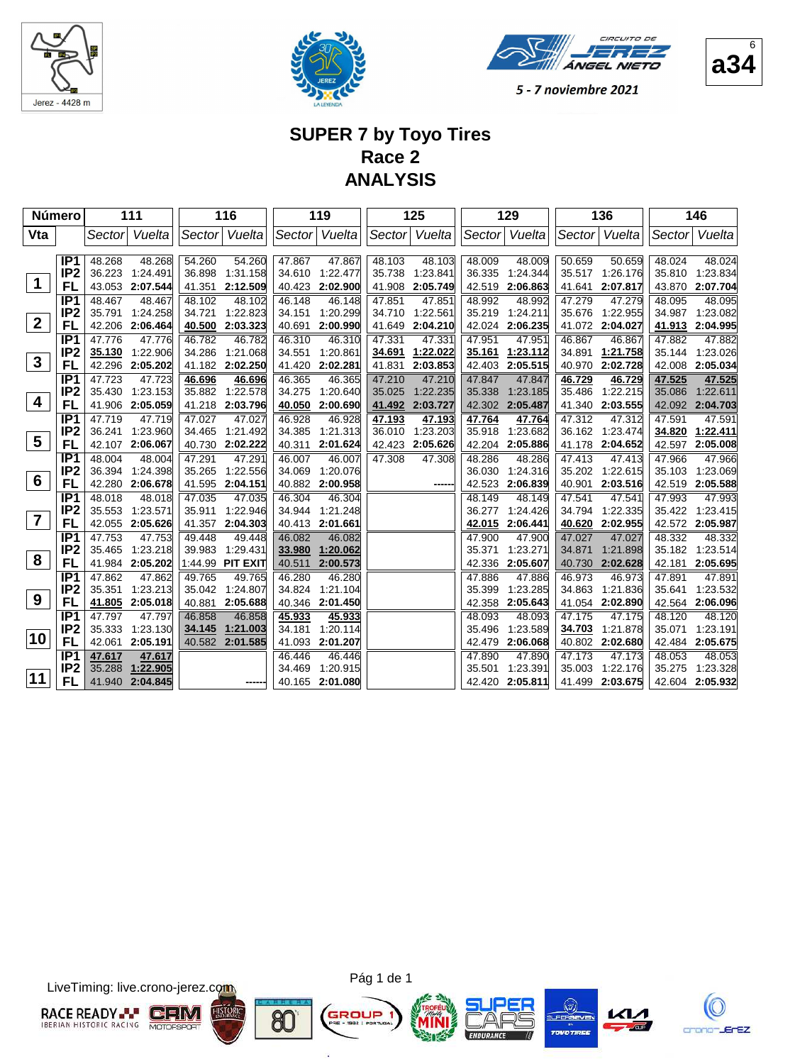





## **SUPER 7 by Toyo Tires Race 2 ANALYSIS**

| Número          |                                    |                  | 111                |                  | 116                |                  | 119                |                  | 125                |                  | 129                |                  | 136                |                  | 146                |
|-----------------|------------------------------------|------------------|--------------------|------------------|--------------------|------------------|--------------------|------------------|--------------------|------------------|--------------------|------------------|--------------------|------------------|--------------------|
| Vta             |                                    | Sectorl          | Vuelta             |                  | Sector Vuelta      | Sector           | Vuelta             | Sector           | Vuelta             |                  | Sector Vuelta      | Sector           | Vuelta             | Sector           | Vuelta             |
|                 |                                    |                  |                    |                  |                    |                  |                    |                  |                    |                  |                    |                  |                    |                  |                    |
|                 | IP <sub>1</sub><br>IP <sub>2</sub> | 48.268<br>36.223 | 48.268<br>1:24.491 | 54.260<br>36.898 | 54.260<br>1:31.158 | 47.867<br>34.610 | 47.867<br>1:22.477 | 48.103<br>35.738 | 48.103<br>1:23.841 | 48.009<br>36.335 | 48.009<br>1:24.344 | 50.659<br>35.517 | 50.659<br>1:26.176 | 48.024<br>35.810 | 48.024<br>1:23.834 |
| $\mathbf 1$     | FL                                 | 43.053           | 2:07.544           | 41.351           | 2:12.509           | 40.423           | 2:02.900           | 41.908           | 2:05.749           | 42.519           | 2:06.863           | 41.641           | 2:07.817           | 43.870           | 2:07.704           |
|                 | IP1                                | 48.467           | 48.467             | 48.102           | 48.102             | 46.148           | 46.148             | 47.851           | 47.851             | 48.992           | 48.992             | 47.279           | 47.279             | 48.095           | 48.095             |
|                 | IP <sub>2</sub>                    | 35.791           | 1:24.258           | 34.721           | 1:22.823           | 34.151           | 1:20.299           | 34.710           | 1:22.561           | 35.219           | 1:24.211           | 35.676           | 1:22.955           | 34.987           | 1:23.082           |
| $\overline{2}$  | FL                                 | 42.206           | 2:06.464           | 40.500           | 2:03.323           | 40.691           | 2:00.990           | 41.649           | 2:04.210           | 42.024           | 2:06.235           | 41.072           | 2:04.027           | 41.913           | 2:04.995           |
|                 | IP <sub>1</sub>                    | 47.776           | 47.776             | 46.782           | 46.782             | 46.310           | 46.310             | 47.331           | 47.331             | 47.951           | 47.951             | 46.867           | 46.867             | 47.882           | 47.882             |
|                 | IP <sub>2</sub>                    | 35.130           | 1:22.906           | 34.286           | 1:21.068           | 34.551           | 1:20.861           | 34.691           | 1:22.022           | 35.161           | 1:23.112           | 34.891           | 1:21.758           | 35.144           | 1:23.026           |
| $\mathbf{3}$    | FL                                 | 42.296           | 2:05.202           |                  | 41.182 2:02.250    | 41.420           | 2:02.281           | 41.831           | 2:03.853           | 42.403           | 2:05.515           | 40.970           | 2:02.728           | 42.008           | 2:05.034           |
|                 | IP <sub>1</sub>                    | 47.723           | 47.723             | 46.696           | 46.696             | 46.365           | 46.365             | 47.210           | 47.210             | 47.847           | 47.847             | 46.729           | 46.729             | 47.525           | 47.525             |
| 4               | IP <sub>2</sub>                    | 35.430           | 1:23.153           | 35.882           | 1:22.578           | 34.275           | 1:20.640           | 35.025           | 1:22.235           | 35.338           | 1:23.185           | 35.486           | 1:22.215           | 35.086           | 1:22.611           |
|                 | FL                                 |                  | 41.906 2:05.059    | 41.218           | 2:03.796           | 40.050           | 2:00.690           | 41.492           | 2:03.727           | 42.302           | 2:05.487           | 41.340           | 2:03.555           | 42.092           | 2:04.703           |
|                 | IP <sub>1</sub>                    | 47.719           | 47.719             | 47.027           | 47.027             | 46.928           | 46.928             | 47.193           | 47.193             | 47.764           | 47.764             | 47.312           | 47.312             | 47.591           | 47.591             |
| $5\phantom{.0}$ | IP <sub>2</sub>                    | 36.241           | 1:23.960           | 34.465           | 1:21.492           | 34.385           | 1:21.313           | 36.010           | 1:23.203           | 35.918           | 1:23.682           | 36.162           | 1:23.474           | 34.820           | 1:22.411           |
|                 | FL                                 | 42.107           | 2:06.067           | 40.730           | 2:02.222           | 40.311           | 2:01.624           | 42.423           | 2:05.626           | 42.204           | 2:05.886           | 41.178           | 2:04.652           | 42.597           | 2:05.008           |
|                 | IP <sub>1</sub><br>IP <sub>2</sub> | 48.004<br>36.394 | 48.004<br>1:24.398 | 47.291<br>35.265 | 47.291<br>1:22.556 | 46.007<br>34.069 | 46.007<br>1:20.076 | 47.308           | 47.308             | 48.286<br>36.030 | 48.286<br>1:24.316 | 47.413<br>35.202 | 47.413<br>1:22.615 | 47.966<br>35.103 | 47.966<br>1:23.069 |
| 6               | FL                                 | 42.280           | 2:06.678           | 41.595           | 2:04.151           | 40.882           | 2:00.958           |                  | -----              | 42.523           | 2:06.839           | 40.901           | 2:03.516           | 42.519           | 2:05.588           |
|                 | IP <sub>1</sub>                    | 48.018           | 48.018             | 47.035           | 47.035             | 46.304           | 46.304             |                  |                    | 48.149           | 48.149             | 47.541           | 47.541             | 47.993           | 47.993             |
|                 | IP <sub>2</sub>                    | 35.553           | 1:23.571           | 35.911           | 1:22.946           | 34.944           | 1:21.248           |                  |                    | 36.277           | 1:24.426           | 34.794           | 1:22.335           | 35.422           | 1:23.415           |
| $\overline{7}$  | FL                                 | 42.055           | 2:05.626           | 41.357           | 2:04.303           | 40.413           | 2:01.661           |                  |                    | 42.015           | 2:06.441           | 40.620           | 2:02.955           | 42.572           | 2:05.987           |
|                 | IP <sub>1</sub>                    | 47.753           | 47.753             | 49.448           | 49.448             | 46.082           | 46.082             |                  |                    | 47.900           | 47.900             | 47.027           | 47.027             | 48.332           | 48.332             |
|                 | IP <sub>2</sub>                    | 35.465           | 1:23.218           | 39.983           | 1:29.431           | 33.980           | 1:20.062           |                  |                    | 35.371           | 1:23.271           | 34.871           | 1:21.898           | 35.182           | 1:23.514           |
| 8               | FL                                 | 41.984           | 2:05.202           | 1:44.99          | <b>PIT EXIT</b>    | 40.511           | 2:00.573           |                  |                    | 42.336           | 2:05.607           | 40.730           | 2:02.628           | 42.181           | 2:05.695           |
|                 | IP1                                | 47.862           | 47.862             | 49.765           | 49.765             | 46.280           | 46.280             |                  |                    | 47.886           | 47.886             | 46.973           | 46.973             | 47.891           | 47.891             |
|                 | IP <sub>2</sub>                    | 35.351           | 1:23.213           | 35.042           | 1:24.807           | 34.824           | 1:21.104           |                  |                    | 35.399           | 1:23.285           | 34.863           | 1:21.836           | 35.641           | 1:23.532           |
| 9               | FL                                 | <u>41.805</u>    | 2:05.018           | 40.881           | 2:05.688           | 40.346           | 2:01.450           |                  |                    | 42.358           | 2:05.643           | 41.054           | 2:02.890           | 42.564           | 2:06.096           |
|                 | IP <sub>1</sub>                    | 47.797           | 47.797             | 46.858           | 46.858             | 45.933           | 45.933             |                  |                    | 48.093           | 48.093             | 47.175           | 47.175             | 48.120           | 48.120             |
| 10              | IP <sub>2</sub>                    | 35.333           | 1:23.130           | 34.145           | 1:21.003           | 34.181           | 1:20.114           |                  |                    | 35.496           | 1:23.589           | 34.703           | 1:21.878           | 35.071           | 1:23.191           |
|                 | FL                                 | 42.061           | 2:05.191           |                  | 40.582 2:01.585    | 41.093           | 2:01.207           |                  |                    | 42.479           | 2:06.068           | 40.802           | 2:02.680           | 42.484           | 2:05.675           |
|                 | IP <sub>1</sub>                    | 47.617           | 47.617             |                  |                    | 46.446           | 46.446             |                  |                    | 47.890           | 47.890             | 47.173           | 47.173             | 48.053           | 48.053             |
| 11              | IP <sub>2</sub>                    | 35.288           | 1:22.905           |                  |                    | 34.469           | 1:20.915           |                  |                    | 35.501           | 1:23.391           | 35.003           | 1:22.176           | 35.275           | 1:23.328           |
|                 | FL                                 |                  | 41.940 2:04.845    |                  |                    | 40.165           | 2:01.080           |                  |                    | 42.420           | 2:05.811           | 41.499           | 2:03.675           | 42.604           | 2:05.932           |

LiveTiming: live.crono-jerez.com



Pág 1 de 1

G

ä

8C











6

**a34**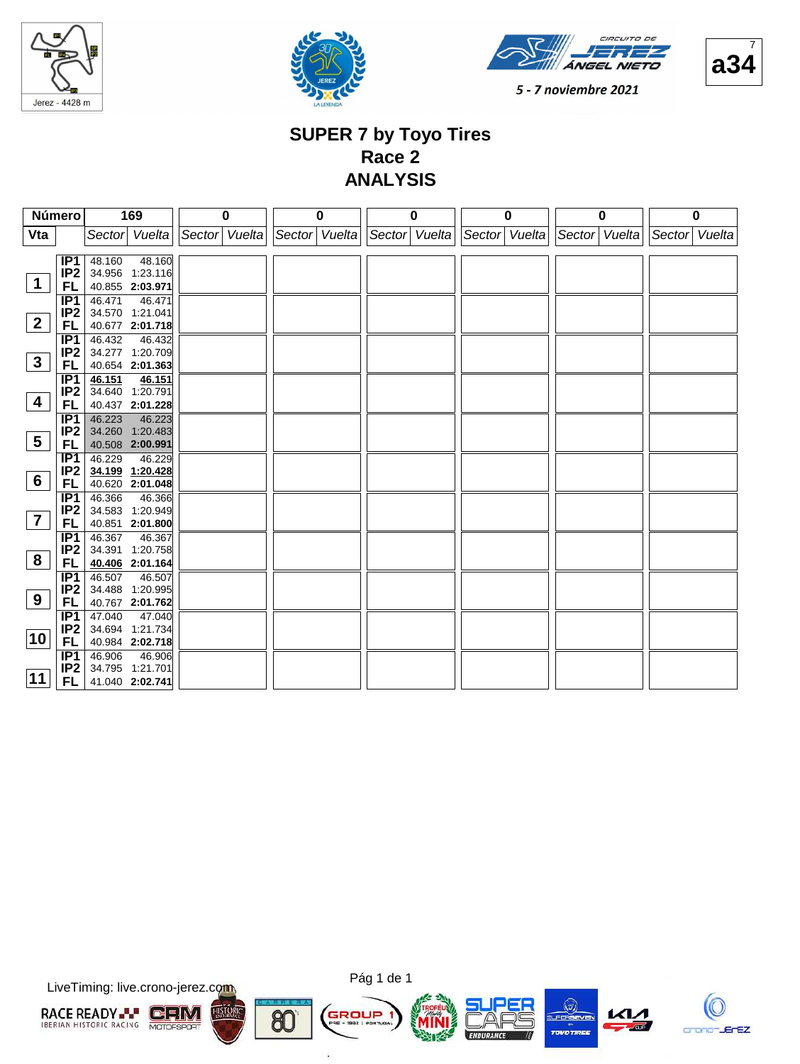







#### **SUPER 7 by Toyo Tires Race 2 ANALYSIS**

| Número                  |                        | 169                                 | $\bf{0}$      | 0             | $\bf{0}$      | $\bf{0}$      | $\bf{0}$      | 0                |
|-------------------------|------------------------|-------------------------------------|---------------|---------------|---------------|---------------|---------------|------------------|
| Vta                     |                        | Sector Vuelta                       | Sector Vuelta | Sector Vuelta | Sector Vuelta | Sector Vuelta | Sector Vuelta | Sector<br>Vuelta |
|                         |                        |                                     |               |               |               |               |               |                  |
|                         | IP1<br>IP <sub>2</sub> | 48.160<br>48.160<br>34.956 1:23.116 |               |               |               |               |               |                  |
| $\mathbf 1$             | FL.                    | 40.855 2:03.971                     |               |               |               |               |               |                  |
|                         | IP1                    | 46.471<br>46.471                    |               |               |               |               |               |                  |
|                         | IP <sub>2</sub>        | 34.570 1:21.041                     |               |               |               |               |               |                  |
| $\mathbf{2}$            | FL                     | 40.677 2:01.718                     |               |               |               |               |               |                  |
|                         | IP1                    | 46.432<br>46.432                    |               |               |               |               |               |                  |
| $\mathbf{3}$            | IP <sub>2</sub>        | 34.277 1:20.709                     |               |               |               |               |               |                  |
|                         | FL                     | 40.654 2:01.363                     |               |               |               |               |               |                  |
|                         | IP1<br>IP <sub>2</sub> | 46.151<br>46.151<br>34.640 1:20.791 |               |               |               |               |               |                  |
| $\overline{\mathbf{4}}$ | FL                     | 40.437 2:01.228                     |               |               |               |               |               |                  |
|                         | IP <sub>1</sub>        | 46.223<br>46.223                    |               |               |               |               |               |                  |
|                         | IP <sub>2</sub>        | 34.260 1:20.483                     |               |               |               |               |               |                  |
| $5\phantom{.0}$         | FL.                    | 40.508 2:00.991                     |               |               |               |               |               |                  |
|                         | IP1                    | 46.229<br>46.229                    |               |               |               |               |               |                  |
| $6\phantom{.}6$         | IP <sub>2</sub>        | 34.199 1:20.428                     |               |               |               |               |               |                  |
|                         | FL.<br>IP <sub>1</sub> | 40.620 2:01.048<br>46.366<br>46.366 |               |               |               |               |               |                  |
|                         | IP <sub>2</sub>        | 34.583 1:20.949                     |               |               |               |               |               |                  |
| $\overline{\mathbf{7}}$ | FL.                    | 40.851 2:01.800                     |               |               |               |               |               |                  |
|                         | IP1                    | 46.367<br>46.367                    |               |               |               |               |               |                  |
|                         | IP <sub>2</sub>        | 34.391 1:20.758                     |               |               |               |               |               |                  |
| 8                       | FL.                    | 40.406 2:01.164                     |               |               |               |               |               |                  |
|                         | IP1                    | 46.507<br>46.507                    |               |               |               |               |               |                  |
| 9                       | IP <sub>2</sub><br>FL. | 34.488 1:20.995<br>40.767 2:01.762  |               |               |               |               |               |                  |
|                         | IP1                    | 47.040<br>47.040                    |               |               |               |               |               |                  |
|                         | IP <sub>2</sub>        | 34.694 1:21.734                     |               |               |               |               |               |                  |
| 10                      | FL.                    | 40.984 2:02.718                     |               |               |               |               |               |                  |
|                         | IP1                    | 46.906<br>46.906                    |               |               |               |               |               |                  |
|                         | IP <sub>2</sub>        | 34.795 1:21.701                     |               |               |               |               |               |                  |
| 11                      | FL.                    | 41.040 2:02.741                     |               |               |               |               |               |                  |

LiveTiming: live.crono-jerez.com





G

ä







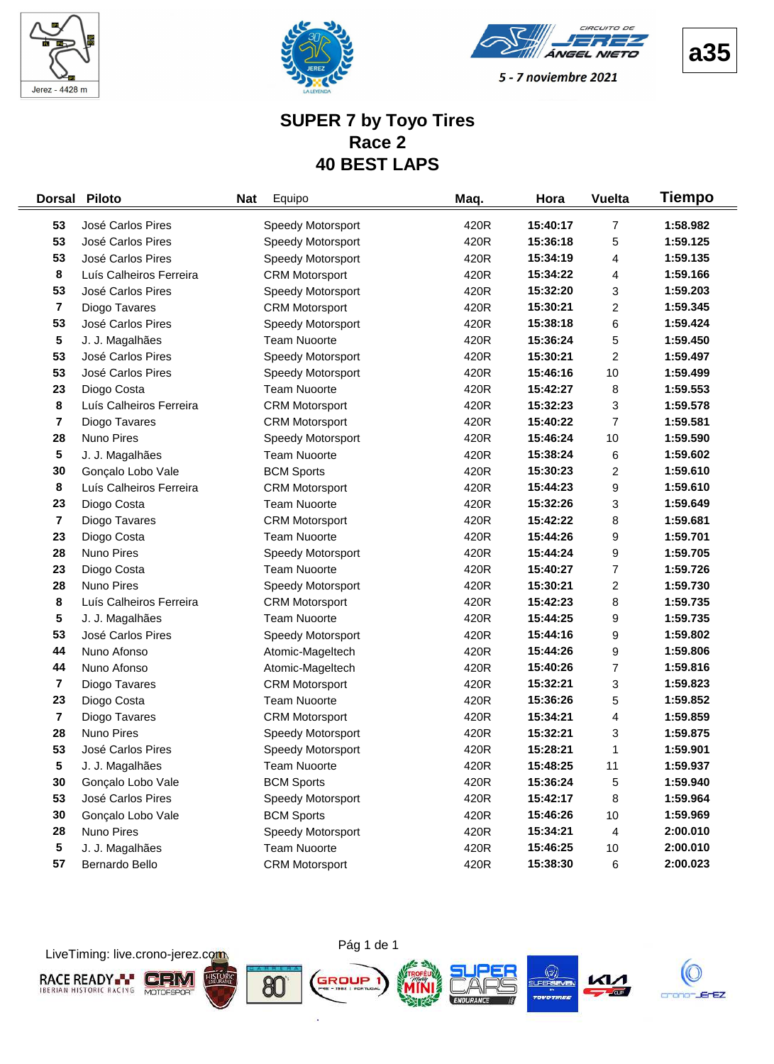





#### **SUPER 7 by Toyo Tires Race 2 40 BEST LAPS**

| <b>Dorsal</b>           | <b>Piloto</b>           | <b>Nat</b> | Equipo                | Maq. | Hora     | <b>Vuelta</b>  | Tiempo   |
|-------------------------|-------------------------|------------|-----------------------|------|----------|----------------|----------|
| 53                      | José Carlos Pires       |            | Speedy Motorsport     | 420R | 15:40:17 | 7              | 1:58.982 |
| 53                      | José Carlos Pires       |            | Speedy Motorsport     | 420R | 15:36:18 | 5              | 1:59.125 |
| 53                      | José Carlos Pires       |            | Speedy Motorsport     | 420R | 15:34:19 | 4              | 1:59.135 |
| 8                       | Luís Calheiros Ferreira |            | <b>CRM Motorsport</b> | 420R | 15:34:22 | 4              | 1:59.166 |
| 53                      | José Carlos Pires       |            | Speedy Motorsport     | 420R | 15:32:20 | 3              | 1:59.203 |
| 7                       | Diogo Tavares           |            | <b>CRM Motorsport</b> | 420R | 15:30:21 | 2              | 1:59.345 |
| 53                      | José Carlos Pires       |            | Speedy Motorsport     | 420R | 15:38:18 | 6              | 1:59.424 |
| 5                       | J. J. Magalhães         |            | <b>Team Nuoorte</b>   | 420R | 15:36:24 | 5              | 1:59.450 |
| 53                      | José Carlos Pires       |            | Speedy Motorsport     | 420R | 15:30:21 | 2              | 1:59.497 |
| 53                      | José Carlos Pires       |            | Speedy Motorsport     | 420R | 15:46:16 | 10             | 1:59.499 |
| 23                      | Diogo Costa             |            | <b>Team Nuoorte</b>   | 420R | 15:42:27 | 8              | 1:59.553 |
| 8                       | Luís Calheiros Ferreira |            | <b>CRM Motorsport</b> | 420R | 15:32:23 | 3              | 1:59.578 |
| $\overline{\mathbf{7}}$ | Diogo Tavares           |            | <b>CRM Motorsport</b> | 420R | 15:40:22 | 7              | 1:59.581 |
| 28                      | Nuno Pires              |            | Speedy Motorsport     | 420R | 15:46:24 | 10             | 1:59.590 |
| 5                       | J. J. Magalhães         |            | <b>Team Nuoorte</b>   | 420R | 15:38:24 | 6              | 1:59.602 |
| 30                      | Gonçalo Lobo Vale       |            | <b>BCM Sports</b>     | 420R | 15:30:23 | $\overline{c}$ | 1:59.610 |
| 8                       | Luís Calheiros Ferreira |            | <b>CRM Motorsport</b> | 420R | 15:44:23 | 9              | 1:59.610 |
| 23                      | Diogo Costa             |            | <b>Team Nuoorte</b>   | 420R | 15:32:26 | 3              | 1:59.649 |
| $\overline{\mathbf{r}}$ | Diogo Tavares           |            | <b>CRM Motorsport</b> | 420R | 15:42:22 | 8              | 1:59.681 |
| 23                      | Diogo Costa             |            | <b>Team Nuoorte</b>   | 420R | 15:44:26 | 9              | 1:59.701 |
| 28                      | Nuno Pires              |            | Speedy Motorsport     | 420R | 15:44:24 | 9              | 1:59.705 |
| 23                      | Diogo Costa             |            | <b>Team Nuoorte</b>   | 420R | 15:40:27 | 7              | 1:59.726 |
| 28                      | Nuno Pires              |            | Speedy Motorsport     | 420R | 15:30:21 | 2              | 1:59.730 |
| 8                       | Luís Calheiros Ferreira |            | <b>CRM Motorsport</b> | 420R | 15:42:23 | 8              | 1:59.735 |
| 5                       | J. J. Magalhães         |            | <b>Team Nuoorte</b>   | 420R | 15:44:25 | 9              | 1:59.735 |
| 53                      | José Carlos Pires       |            | Speedy Motorsport     | 420R | 15:44:16 | 9              | 1:59.802 |
| 44                      | Nuno Afonso             |            | Atomic-Mageltech      | 420R | 15:44:26 | 9              | 1:59.806 |
| 44                      | Nuno Afonso             |            | Atomic-Mageltech      | 420R | 15:40:26 | $\overline{7}$ | 1:59.816 |
| $\overline{\mathbf{r}}$ | Diogo Tavares           |            | <b>CRM Motorsport</b> | 420R | 15:32:21 | 3              | 1:59.823 |
| 23                      | Diogo Costa             |            | <b>Team Nuoorte</b>   | 420R | 15:36:26 | 5              | 1:59.852 |
| 7                       | Diogo Tavares           |            | <b>CRM Motorsport</b> | 420R | 15:34:21 | 4              | 1:59.859 |
| 28                      | Nuno Pires              |            | Speedy Motorsport     | 420R | 15:32:21 | 3              | 1:59.875 |
| 53                      | José Carlos Pires       |            | Speedy Motorsport     | 420R | 15:28:21 | 1              | 1:59.901 |
| 5                       | J. J. Magalhães         |            | <b>Team Nuoorte</b>   | 420R | 15:48:25 | 11             | 1:59.937 |
| 30                      | Gonçalo Lobo Vale       |            | <b>BCM Sports</b>     | 420R | 15:36:24 | 5              | 1:59.940 |
| 53                      | José Carlos Pires       |            | Speedy Motorsport     | 420R | 15:42:17 | 8              | 1:59.964 |
| 30                      | Gonçalo Lobo Vale       |            | <b>BCM Sports</b>     | 420R | 15:46:26 | 10             | 1:59.969 |
| 28                      | Nuno Pires              |            | Speedy Motorsport     | 420R | 15:34:21 | 4              | 2:00.010 |
| 5                       | J. J. Magalhães         |            | <b>Team Nuoorte</b>   | 420R | 15:46:25 | $10$           | 2:00.010 |
| 57                      | Bernardo Bello          |            | <b>CRM Motorsport</b> | 420R | 15:38:30 | 6              | 2:00.023 |

LiveTiming: live.crono-jerez.com



i.

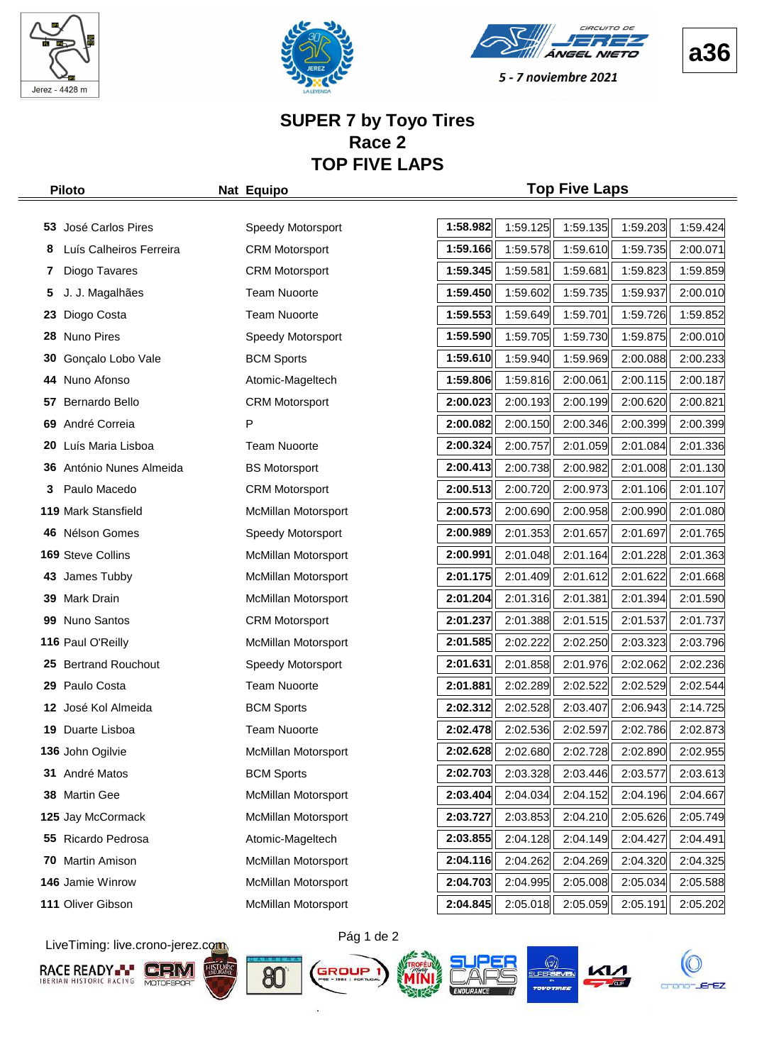





5 - 7 noviembre 2021

#### **SUPER 7 by Toyo Tires Race 2 TOP FIVE LAPS**

#### **Piloto Nat Equipo Top Five Laps**

|    | 53 José Carlos Pires     | Speedy Motorsport          | 1:58.982 | 1:59.125 | 1:59.135 | 1:59.203 | 1:59.424 |
|----|--------------------------|----------------------------|----------|----------|----------|----------|----------|
| 8  | Luís Calheiros Ferreira  | <b>CRM Motorsport</b>      | 1:59.166 | 1:59.578 | 1:59.610 | 1:59.735 | 2:00.071 |
| 7  | Diogo Tavares            | <b>CRM Motorsport</b>      | 1:59.345 | 1:59.581 | 1:59.681 | 1:59.823 | 1:59.859 |
| 5  | J. J. Magalhães          | <b>Team Nuoorte</b>        | 1:59.450 | 1:59.602 | 1:59.735 | 1:59.937 | 2:00.010 |
| 23 | Diogo Costa              | <b>Team Nuoorte</b>        | 1:59.553 | 1:59.649 | 1:59.701 | 1:59.726 | 1:59.852 |
| 28 | Nuno Pires               | Speedy Motorsport          | 1:59.590 | 1:59.705 | 1:59.730 | 1:59.875 | 2:00.010 |
| 30 | Gonçalo Lobo Vale        | <b>BCM Sports</b>          | 1:59.610 | 1:59.940 | 1:59.969 | 2:00.088 | 2:00.233 |
| 44 | Nuno Afonso              | Atomic-Mageltech           | 1:59.806 | 1:59.816 | 2:00.061 | 2:00.115 | 2:00.187 |
| 57 | Bernardo Bello           | <b>CRM Motorsport</b>      | 2:00.023 | 2:00.193 | 2:00.199 | 2:00.620 | 2:00.821 |
|    | 69 André Correia         | P                          | 2:00.082 | 2:00.150 | 2:00.346 | 2:00.399 | 2:00.399 |
| 20 | Luís Maria Lisboa        | <b>Team Nuoorte</b>        | 2:00.324 | 2:00.757 | 2:01.059 | 2:01.084 | 2:01.336 |
|    | 36 António Nunes Almeida | <b>BS Motorsport</b>       | 2:00.413 | 2:00.738 | 2:00.982 | 2:01.008 | 2:01.130 |
| 3  | Paulo Macedo             | <b>CRM Motorsport</b>      | 2:00.513 | 2:00.720 | 2:00.973 | 2:01.106 | 2:01.107 |
|    | 119 Mark Stansfield      | McMillan Motorsport        | 2:00.573 | 2:00.690 | 2:00.958 | 2:00.990 | 2:01.080 |
| 46 | Nélson Gomes             | Speedy Motorsport          | 2:00.989 | 2:01.353 | 2:01.657 | 2:01.697 | 2:01.765 |
|    | 169 Steve Collins        | McMillan Motorsport        | 2:00.991 | 2:01.048 | 2:01.164 | 2:01.228 | 2:01.363 |
|    | 43 James Tubby           | McMillan Motorsport        | 2:01.175 | 2:01.409 | 2:01.612 | 2:01.622 | 2:01.668 |
|    | 39 Mark Drain            | McMillan Motorsport        | 2:01.204 | 2:01.316 | 2:01.381 | 2:01.394 | 2:01.590 |
| 99 | Nuno Santos              | <b>CRM Motorsport</b>      | 2:01.237 | 2:01.388 | 2:01.515 | 2:01.537 | 2:01.737 |
|    | 116 Paul O'Reilly        | McMillan Motorsport        | 2:01.585 | 2:02.222 | 2:02.250 | 2:03.323 | 2:03.796 |
|    | 25 Bertrand Rouchout     | Speedy Motorsport          | 2:01.631 | 2:01.858 | 2:01.976 | 2:02.062 | 2:02.236 |
| 29 | Paulo Costa              | <b>Team Nuoorte</b>        | 2:01.881 | 2:02.289 | 2:02.522 | 2:02.529 | 2:02.544 |
|    | 12 José Kol Almeida      | <b>BCM Sports</b>          | 2:02.312 | 2:02.528 | 2:03.407 | 2:06.943 | 2:14.725 |
| 19 | Duarte Lisboa            | <b>Team Nuoorte</b>        | 2:02.478 | 2:02.536 | 2:02.597 | 2:02.786 | 2:02.873 |
|    | 136 John Ogilvie         | McMillan Motorsport        | 2:02.628 | 2:02.680 | 2:02.728 | 2:02.890 | 2:02.955 |
|    | 31 André Matos           | <b>BCM Sports</b>          | 2:02.703 | 2:03.328 | 2:03.446 | 2:03.577 | 2:03.613 |
|    | 38 Martin Gee            | McMillan Motorsport        | 2:03.404 | 2:04.034 | 2:04.152 | 2:04.196 | 2:04.667 |
|    | 125 Jay McCormack        | <b>McMillan Motorsport</b> | 2:03.727 | 2:03.853 | 2:04.210 | 2:05.626 | 2:05.749 |
|    | 55 Ricardo Pedrosa       | Atomic-Mageltech           | 2:03.855 | 2:04.128 | 2:04.149 | 2:04.427 | 2:04.491 |
| 70 | Martin Amison            | McMillan Motorsport        | 2:04.116 | 2:04.262 | 2:04.269 | 2:04.320 | 2:04.325 |
|    | 146 Jamie Winrow         | McMillan Motorsport        | 2:04.703 | 2:04.995 | 2:05.008 | 2:05.034 | 2:05.588 |
|    | 111 Oliver Gibson        | McMillan Motorsport        | 2:04.845 | 2:05.018 | 2:05.059 | 2:05.191 | 2:05.202 |

LiveTiming: live.crono-jerez.com













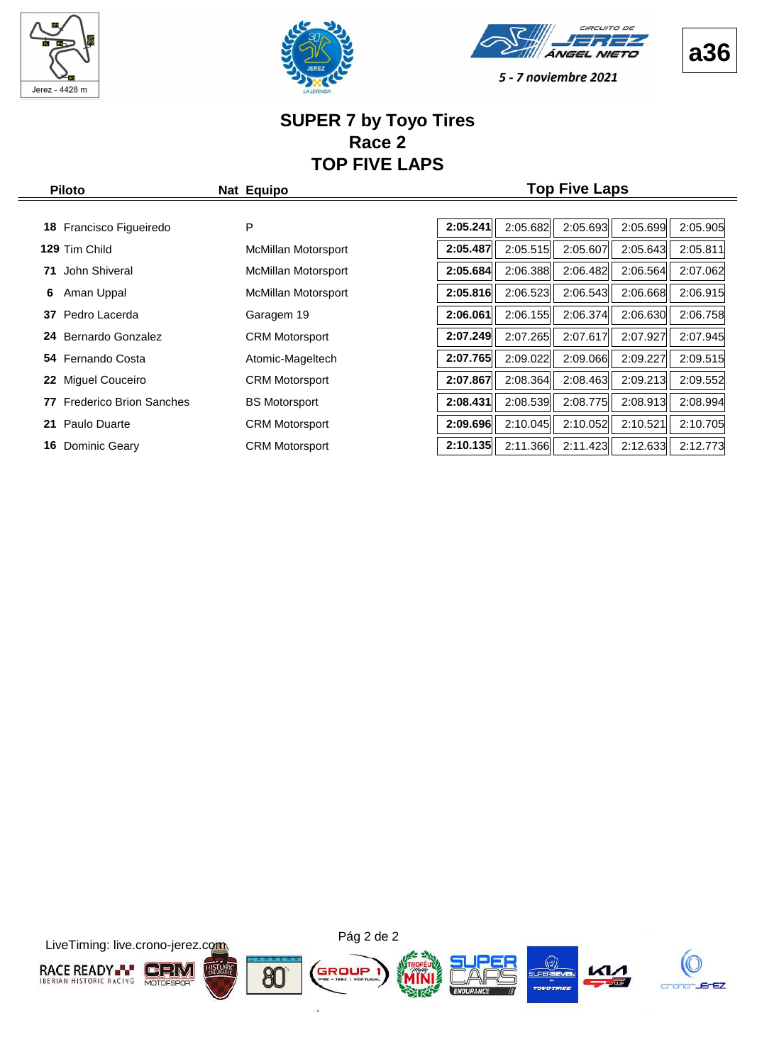







#### **SUPER 7 by Toyo Tires Race 2 TOP FIVE LAPS**

| <b>Piloto</b>                        | Nat Equipo                 |          |          | <b>Top Five Laps</b> |          |          |
|--------------------------------------|----------------------------|----------|----------|----------------------|----------|----------|
| Francisco Figueiredo<br>18           | P                          | 2:05.241 | 2:05.682 | 2:05.693             | 2:05.699 | 2:05.905 |
| 129 Tim Child                        | McMillan Motorsport        | 2:05.487 | 2:05.515 | 2:05.607             | 2:05.643 | 2:05.811 |
| John Shiveral<br>71                  | McMillan Motorsport        | 2:05.684 | 2:06.388 | 2:06.482             | 2:06.564 | 2:07.062 |
| 6<br>Aman Uppal                      | <b>McMillan Motorsport</b> | 2:05.816 | 2:06.523 | 2:06.543             | 2:06.668 | 2:06.915 |
| Pedro Lacerda<br>37                  | Garagem 19                 | 2:06.061 | 2:06.155 | 2:06.374             | 2:06.630 | 2:06.758 |
| Bernardo Gonzalez<br>24              | <b>CRM Motorsport</b>      | 2:07.249 | 2:07.265 | 2:07.617             | 2:07.927 | 2:07.945 |
| 54 Fernando Costa                    | Atomic-Mageltech           | 2:07.765 | 2:09.022 | 2:09.066             | 2:09.227 | 2:09.515 |
| Miguel Couceiro<br>22                | <b>CRM Motorsport</b>      | 2:07.867 | 2:08.364 | 2:08.463             | 2:09.213 | 2:09.552 |
| 77<br><b>Frederico Brion Sanches</b> | <b>BS Motorsport</b>       | 2:08.431 | 2:08.539 | 2:08.775             | 2:08.913 | 2:08.994 |
| 21<br>Paulo Duarte                   | <b>CRM Motorsport</b>      | 2:09.696 | 2:10.045 | 2:10.052             | 2:10.521 | 2:10.705 |
| 16<br>Dominic Geary                  | <b>CRM Motorsport</b>      | 2:10.135 | 2:11.366 | 2:11.423             | 2:12.633 | 2:12.773 |

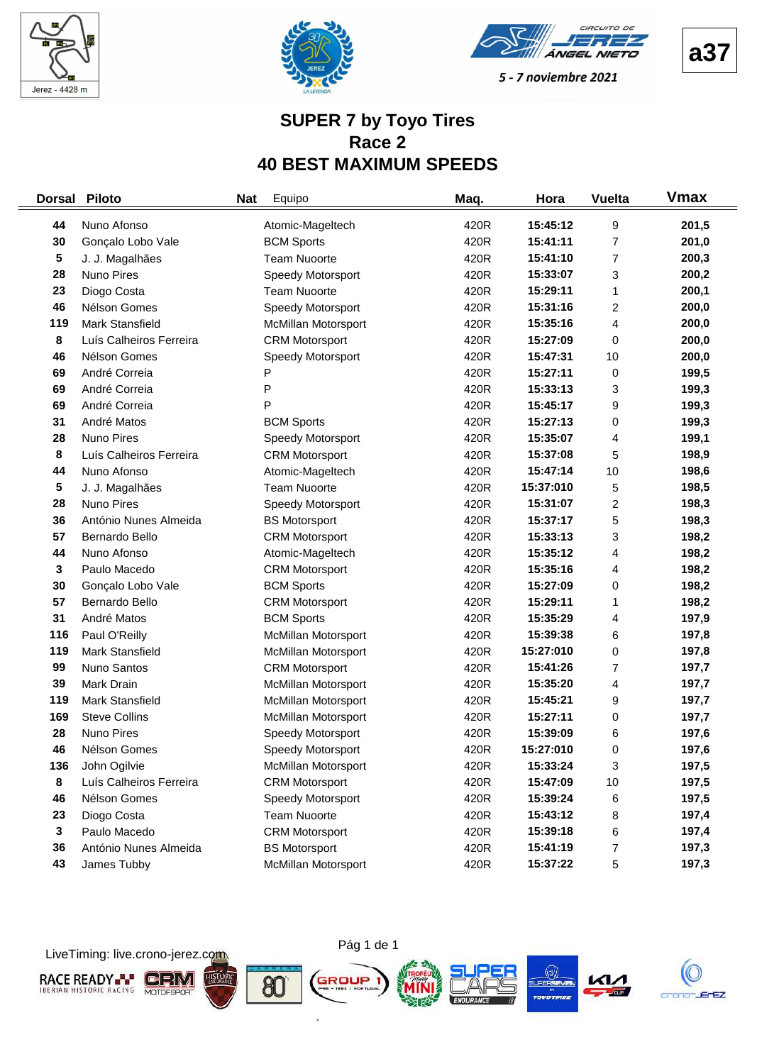





#### **SUPER 7 by Toyo Tires Race 2 40 BEST MAXIMUM SPEEDS**

| <b>Dorsal</b> | <b>Piloto</b>           | <b>Nat</b> | Equipo                     | Maq. | Hora      | <b>Vuelta</b>           | <b>V</b> max |
|---------------|-------------------------|------------|----------------------------|------|-----------|-------------------------|--------------|
| 44            | Nuno Afonso             |            | Atomic-Mageltech           | 420R | 15:45:12  | 9                       | 201,5        |
| 30            | Gonçalo Lobo Vale       |            | <b>BCM Sports</b>          | 420R | 15:41:11  | 7                       | 201,0        |
| 5             | J. J. Magalhães         |            | <b>Team Nuoorte</b>        | 420R | 15:41:10  | 7                       | 200,3        |
| 28            | Nuno Pires              |            | Speedy Motorsport          | 420R | 15:33:07  | 3                       | 200,2        |
| 23            | Diogo Costa             |            | <b>Team Nuoorte</b>        | 420R | 15:29:11  | 1                       | 200,1        |
| 46            | Nélson Gomes            |            | Speedy Motorsport          | 420R | 15:31:16  | 2                       | 200,0        |
| 119           | Mark Stansfield         |            | McMillan Motorsport        | 420R | 15:35:16  | 4                       | 200,0        |
| 8             | Luís Calheiros Ferreira |            | <b>CRM Motorsport</b>      | 420R | 15:27:09  | 0                       | 200,0        |
| 46            | Nélson Gomes            |            | Speedy Motorsport          | 420R | 15:47:31  | 10                      | 200,0        |
| 69            | André Correia           |            | P                          | 420R | 15:27:11  | 0                       | 199,5        |
| 69            | André Correia           |            | P                          | 420R | 15:33:13  | 3                       | 199,3        |
| 69            | André Correia           |            | P                          | 420R | 15:45:17  | 9                       | 199,3        |
| 31            | André Matos             |            | <b>BCM Sports</b>          | 420R | 15:27:13  | 0                       | 199,3        |
| 28            | Nuno Pires              |            | Speedy Motorsport          | 420R | 15:35:07  | 4                       | 199,1        |
| 8             | Luís Calheiros Ferreira |            | <b>CRM Motorsport</b>      | 420R | 15:37:08  | 5                       | 198,9        |
| 44            | Nuno Afonso             |            | Atomic-Mageltech           | 420R | 15:47:14  | 10                      | 198,6        |
| 5             | J. J. Magalhães         |            | <b>Team Nuoorte</b>        | 420R | 15:37:010 | 5                       | 198,5        |
| 28            | Nuno Pires              |            | Speedy Motorsport          | 420R | 15:31:07  | $\overline{\mathbf{c}}$ | 198,3        |
| 36            | António Nunes Almeida   |            | <b>BS Motorsport</b>       | 420R | 15:37:17  | 5                       | 198,3        |
| 57            | Bernardo Bello          |            | <b>CRM Motorsport</b>      | 420R | 15:33:13  | 3                       | 198,2        |
| 44            | Nuno Afonso             |            | Atomic-Mageltech           | 420R | 15:35:12  | 4                       | 198,2        |
| 3             | Paulo Macedo            |            | <b>CRM Motorsport</b>      | 420R | 15:35:16  | 4                       | 198,2        |
| 30            | Gonçalo Lobo Vale       |            | <b>BCM Sports</b>          | 420R | 15:27:09  | 0                       | 198,2        |
| 57            | Bernardo Bello          |            | <b>CRM Motorsport</b>      | 420R | 15:29:11  | 1                       | 198,2        |
| 31            | André Matos             |            | <b>BCM Sports</b>          | 420R | 15:35:29  | 4                       | 197,9        |
| 116           | Paul O'Reilly           |            | McMillan Motorsport        | 420R | 15:39:38  | 6                       | 197,8        |
| 119           | Mark Stansfield         |            | McMillan Motorsport        | 420R | 15:27:010 | 0                       | 197,8        |
| 99            | Nuno Santos             |            | <b>CRM Motorsport</b>      | 420R | 15:41:26  | 7                       | 197,7        |
| 39            | Mark Drain              |            | McMillan Motorsport        | 420R | 15:35:20  | 4                       | 197,7        |
| 119           | Mark Stansfield         |            | McMillan Motorsport        | 420R | 15:45:21  | 9                       | 197,7        |
| 169           | <b>Steve Collins</b>    |            | McMillan Motorsport        | 420R | 15:27:11  | 0                       | 197,7        |
| 28            | Nuno Pires              |            | Speedy Motorsport          | 420R | 15:39:09  | 6                       | 197,6        |
| 46            | Nélson Gomes            |            | Speedy Motorsport          | 420R | 15:27:010 | 0                       | 197,6        |
| 136           | John Ogilvie            |            | McMillan Motorsport        | 420R | 15:33:24  | 3                       | 197,5        |
| 8             | Luís Calheiros Ferreira |            | <b>CRM Motorsport</b>      | 420R | 15:47:09  | $10$                    | 197,5        |
| 46            | Nélson Gomes            |            | Speedy Motorsport          | 420R | 15:39:24  | 6                       | 197,5        |
| 23            | Diogo Costa             |            | <b>Team Nuoorte</b>        | 420R | 15:43:12  | 8                       | 197,4        |
| 3             | Paulo Macedo            |            | <b>CRM Motorsport</b>      | 420R | 15:39:18  | 6                       | 197,4        |
| 36            | António Nunes Almeida   |            | <b>BS Motorsport</b>       | 420R | 15:41:19  | 7                       | 197,3        |
| 43            | James Tubby             |            | <b>McMillan Motorsport</b> | 420R | 15:37:22  | 5                       | 197,3        |

Pág 1 de 1

ò.

LiveTiming: live.crono-jerez.com

**RACE READY- CHM HISTOR** GROUP 







**a37**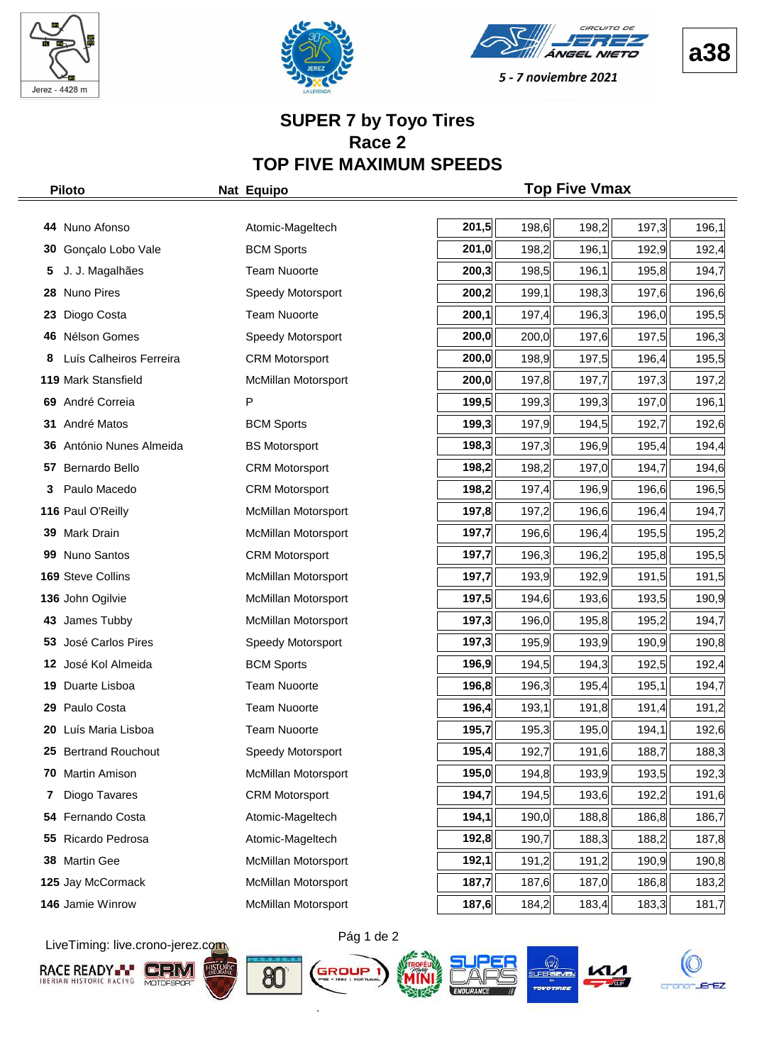







#### **SUPER 7 by Toyo Tires Race 2 TOP FIVE MAXIMUM SPEEDS**

|     | <b>Piloto</b>            | Nat Equipo                 |       |       | <b>Top Five Vmax</b> |       |       |
|-----|--------------------------|----------------------------|-------|-------|----------------------|-------|-------|
|     |                          |                            |       |       |                      |       |       |
|     | 44 Nuno Afonso           | Atomic-Mageltech           | 201,5 | 198,6 | 198,2                | 197,3 | 196,1 |
| 30  | Gonçalo Lobo Vale        | <b>BCM Sports</b>          | 201,0 | 198,2 | 196,1                | 192,9 | 192,4 |
|     | J. J. Magalhães          | <b>Team Nuoorte</b>        | 200,3 | 198,5 | 196,1                | 195,8 | 194,7 |
| 28. | <b>Nuno Pires</b>        | Speedy Motorsport          | 200,2 | 199,1 | 198,3                | 197,6 | 196,6 |
| 23  | Diogo Costa              | <b>Team Nuoorte</b>        | 200,1 | 197,4 | 196,3                | 196,0 | 195,5 |
| 46  | Nélson Gomes             | Speedy Motorsport          | 200,0 | 200,0 | 197,6                | 197,5 | 196,3 |
| 8   | Luís Calheiros Ferreira  | <b>CRM Motorsport</b>      | 200,0 | 198,9 | 197,5                | 196,4 | 195,5 |
|     | 119 Mark Stansfield      | McMillan Motorsport        | 200,0 | 197,8 | 197,7                | 197,3 | 197,2 |
|     | 69 André Correia         | P                          | 199,5 | 199,3 | 199,3                | 197,0 | 196,1 |
| 31  | André Matos              | <b>BCM Sports</b>          | 199,3 | 197,9 | 194,5                | 192,7 | 192,6 |
|     | 36 António Nunes Almeida | <b>BS Motorsport</b>       | 198,3 | 197,3 | 196,9                | 195,4 | 194,4 |
| 57  | Bernardo Bello           | <b>CRM Motorsport</b>      | 198,2 | 198,2 | 197,0                | 194,7 | 194,6 |
| 3   | Paulo Macedo             | <b>CRM Motorsport</b>      | 198,2 | 197,4 | 196,9                | 196,6 | 196,5 |
|     | 116 Paul O'Reilly        | McMillan Motorsport        | 197,8 | 197,2 | 196,6                | 196,4 | 194,7 |
|     | 39 Mark Drain            | McMillan Motorsport        | 197,7 | 196,6 | 196,4                | 195,5 | 195,2 |
|     | 99 Nuno Santos           | <b>CRM Motorsport</b>      | 197,7 | 196,3 | 196,2                | 195,8 | 195,5 |
|     | 169 Steve Collins        | McMillan Motorsport        | 197,7 | 193,9 | 192,9                | 191,5 | 191,5 |
|     | 136 John Ogilvie         | McMillan Motorsport        | 197,5 | 194,6 | 193,6                | 193,5 | 190,9 |
| 43. | James Tubby              | McMillan Motorsport        | 197,3 | 196,0 | 195,8                | 195,2 | 194,7 |
|     | 53 José Carlos Pires     | Speedy Motorsport          | 197,3 | 195,9 | 193,9                | 190,9 | 190,8 |
|     | 12 José Kol Almeida      | <b>BCM Sports</b>          | 196,9 | 194,5 | 194,3                | 192,5 | 192,4 |
| 19  | Duarte Lisboa            | <b>Team Nuoorte</b>        | 196,8 | 196,3 | 195,4                | 195,1 | 194,7 |
| 29  | Paulo Costa              | <b>Team Nuoorte</b>        | 196,4 | 193,1 | 191,8                | 191,4 | 191,2 |
|     | 20 Luís Maria Lisboa     | <b>Team Nuoorte</b>        | 195,7 | 195,3 | 195,0                | 194,1 | 192,6 |
| 25  | <b>Bertrand Rouchout</b> | Speedy Motorsport          | 195,4 | 192,7 | 191,6                | 188,7 | 188,3 |
|     | 70 Martin Amison         | <b>McMillan Motorsport</b> | 195,0 | 194,8 | 193,9                | 193,5 | 192,3 |
| 7   | Diogo Tavares            | <b>CRM Motorsport</b>      | 194,7 | 194,5 | 193,6                | 192,2 | 191,6 |
| 54  | Fernando Costa           | Atomic-Mageltech           | 194,1 | 190,0 | 188,8                | 186,8 | 186,7 |
| 55  | Ricardo Pedrosa          | Atomic-Mageltech           | 192,8 | 190,7 | 188,3                | 188,2 | 187,8 |
|     | 38 Martin Gee            | McMillan Motorsport        | 192,1 | 191,2 | 191,2                | 190,9 | 190,8 |
|     | 125 Jay McCormack        | McMillan Motorsport        | 187,7 | 187,6 | 187,0                | 186,8 | 183,2 |
|     | 146 Jamie Winrow         | McMillan Motorsport        | 187,6 | 184,2 | 183,4                | 183,3 | 181,7 |

LiveTiming: live.crono-jerez.com













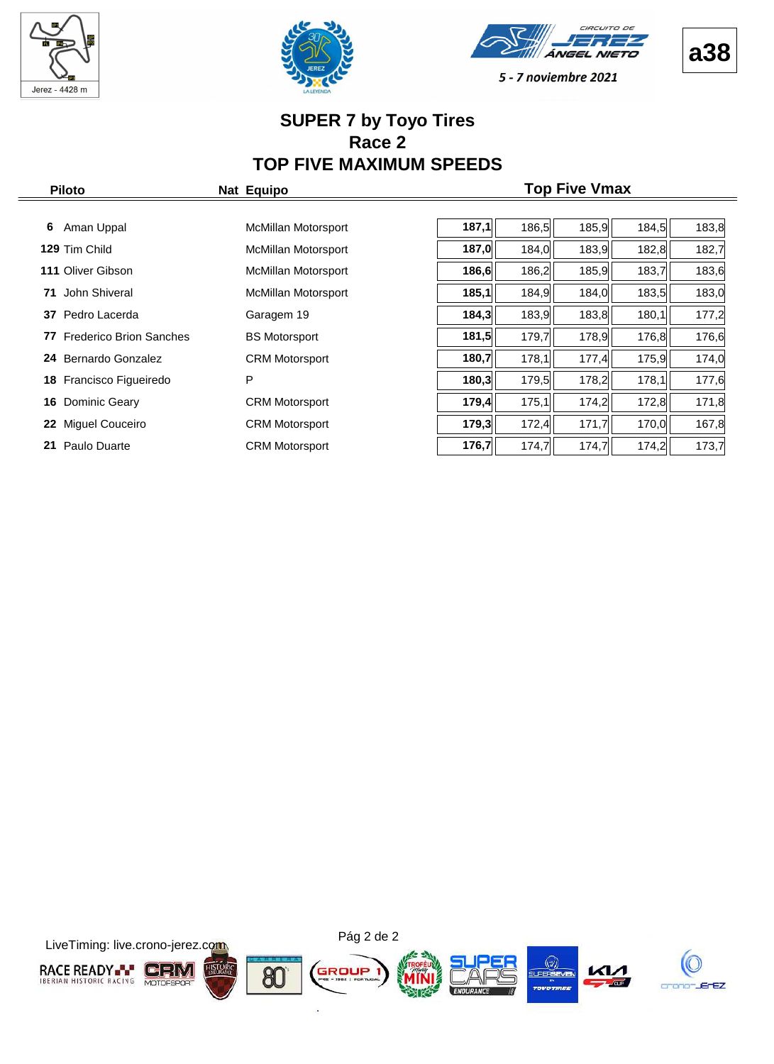







#### **SUPER 7 by Toyo Tires Race 2 TOP FIVE MAXIMUM SPEEDS**

| <b>Piloto</b>                        | Nat Equipo                 |       |       | <b>Top Five Vmax</b> |       |       |
|--------------------------------------|----------------------------|-------|-------|----------------------|-------|-------|
| 6<br>Aman Uppal                      | McMillan Motorsport        | 187,1 | 186,5 | 185,9                | 184,5 | 183,8 |
| 129 Tim Child                        | McMillan Motorsport        | 187,0 | 184,0 | 183,9                | 182,8 | 182,7 |
| <b>111 Oliver Gibson</b>             | McMillan Motorsport        | 186,6 | 186,2 | 185,9                | 183,7 | 183,6 |
| John Shiveral<br>71                  | <b>McMillan Motorsport</b> | 185,1 | 184,9 | 184,0                | 183,5 | 183,0 |
| 37 Pedro Lacerda                     | Garagem 19                 | 184,3 | 183,9 | 183,8                | 180,1 | 177,2 |
| <b>Frederico Brion Sanches</b><br>77 | <b>BS Motorsport</b>       | 181,5 | 179,7 | 178,9                | 176,8 | 176,6 |
| 24 Bernardo Gonzalez                 | <b>CRM Motorsport</b>      | 180,7 | 178,1 | 177,4                | 175,9 | 174,0 |
| 18 Francisco Figueiredo              | P                          | 180,3 | 179,5 | 178,2                | 178,1 | 177,6 |
| <b>16</b> Dominic Geary              | <b>CRM Motorsport</b>      | 179,4 | 175,1 | 174,2                | 172,8 | 171,8 |
| Miguel Couceiro<br>22                | <b>CRM Motorsport</b>      | 179,3 | 172,4 | 171,7                | 170,0 | 167,8 |
| Paulo Duarte<br>21                   | <b>CRM Motorsport</b>      | 176,7 | 174,7 | 174,7                | 174,2 | 173,7 |

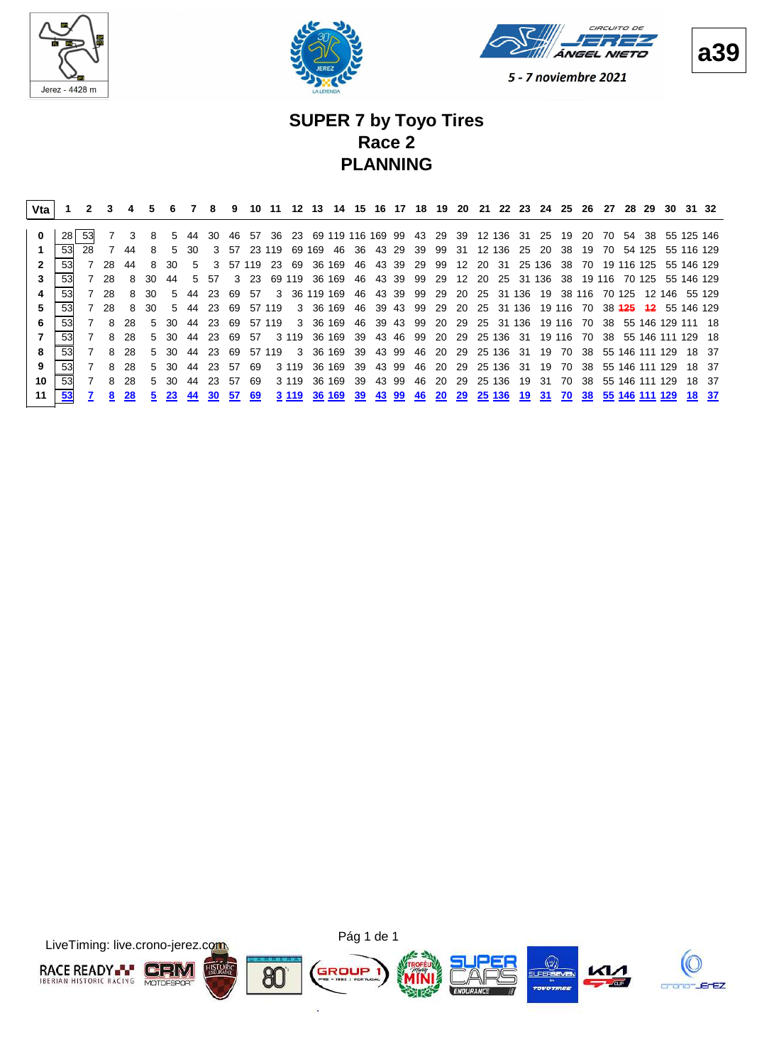





#### **SUPER 7 by Toyo Tires Race 2 PLANNING**

| Vta |    |    |      |     | 5     |       |         | 8             | 9   | 10           | -11    |         | 12 13  |                         |     |          |       |    |           |       |     |                 |    | 14 15 16 17 18 19 20 21 22 23 24 25 |        |        | 26 27 | 28            | -29    | -30               |                                                     | 31 32 |
|-----|----|----|------|-----|-------|-------|---------|---------------|-----|--------------|--------|---------|--------|-------------------------|-----|----------|-------|----|-----------|-------|-----|-----------------|----|-------------------------------------|--------|--------|-------|---------------|--------|-------------------|-----------------------------------------------------|-------|
|     | 28 |    |      | 3   | 8     |       | 5 44 30 |               |     | 46 57        |        |         |        | 36 23 69 119 116 169 99 |     |          |       |    |           |       |     |                 |    | 43 29 39 12 136 31 25 19            |        |        |       |               |        |                   | 20 70 54 38 55 125 146                              |       |
|     | 53 | 28 |      | 44  |       | .5    | 30      |               |     | 3 57 23 119  |        |         | 69 169 | -46                     |     | 36 43 29 |       | 39 | 99        | 31    |     | 12 136          |    | 25 20                               | -38    | 19     | 70    |               | 54 125 |                   | 55 116 129                                          |       |
|     | 53 |    | 28   | 44  | 8     | 30.   | 5       | $\mathcal{S}$ |     | 57 119       | -23    | 69      |        | 36 169                  | 46  | 43 39    |       |    | 29 99     | - 12  | -20 | - 31            |    | 25 136 38                           |        |        |       | 70 19 116 125 |        |                   | 55 146 129                                          |       |
|     | 53 |    | 7 28 | 8   | 30    | 44    | $5 -$   | -57           |     | $3 \quad 23$ |        |         |        | 69 119 36 169 46 43 39  |     |          |       |    |           |       |     |                 |    | 99 29 12 20 25 31 136 38            |        |        |       |               |        |                   | 19 116 70 125 55 146 129                            |       |
|     | 53 |    | 7 28 | 8   | 30    | 5     | 44      | -23           | 69. | -57          | 3      |         |        | 36 119 169              | 46  |          | 43 39 | 99 | 29        | -20   |     |                 |    | 25 31 136 19                        |        | 38 116 |       |               |        |                   | 70 125 12 146 55 129                                |       |
| 5   | 53 |    | 7 28 | 8   | 30    | $5 -$ | 44      | -23.          | 69  |              | 57 119 |         |        | 3 36 169                | -46 | 39 43    |       | 99 |           | 29 20 |     |                 |    |                                     |        |        |       |               |        |                   | 25 31 136 19 116 70 38 <del>125 12</del> 55 146 129 |       |
| 6   | 53 |    | 8    | 28  | $5 -$ | -30   | -44     | -23           | 69  |              | 57 119 |         |        | 3 36 169 46 39 43 99    |     |          |       |    |           |       |     |                 |    |                                     |        |        |       |               |        |                   | 20 29 25 31 136 19 116 70 38 55 146 129 111 18      |       |
|     | 53 |    | 8    | 28  | $5 -$ | -30   | 44      | -23           | 69  | -57          |        | 3 1 1 9 |        | 36 169                  | -39 | 43.46    |       | 99 |           |       |     | 20 29 25 136 31 |    |                                     | 19 116 |        |       |               |        |                   | 70 38 55 146 111 129 18                             |       |
| 8   | 53 |    | 8    | -28 |       | 5 30  | 44      | -23           | 69  |              | 57 119 |         |        | 3 36 169 39 43 99       |     |          |       |    |           |       |     |                 |    | 46 20 29 25 136 31 19               | 70     |        |       |               |        | 38 55 146 111 129 |                                                     | 18 37 |
|     | 53 |    | 8    | 28  |       | 5 30  | 44      | -23           | 57  | 69           |        | 3 1 1 9 |        | 36 169 39 43 99         |     |          |       |    |           |       |     |                 |    | 46 20 29 25 136 31 19               | 70     |        |       |               |        | 38 55 146 111 129 |                                                     | 18 37 |
| 10  | 53 |    | 8    | -28 | $5 -$ | -30   | 44      | -23           | 57  | 69           |        | 3 1 1 9 |        | 36 169                  | 39  | 43 99    |       | 46 | -20       | -29   |     | 25 136          | 19 | -31                                 | 70     |        |       |               |        | 38 55 146 111 129 |                                                     | 18 37 |
| 11  | 53 |    | 8    | 28  | 5.    | 23    | 44      | 30            | 57  | 69           |        | 3 1 1 9 |        | 36 169                  | -39 | 43       | -99   | 46 | <b>20</b> | 29    |     | 25 136          | 19 | 31                                  | 70     | 38     |       |               |        | 55 146 111 129    |                                                     | 18 37 |



**a39**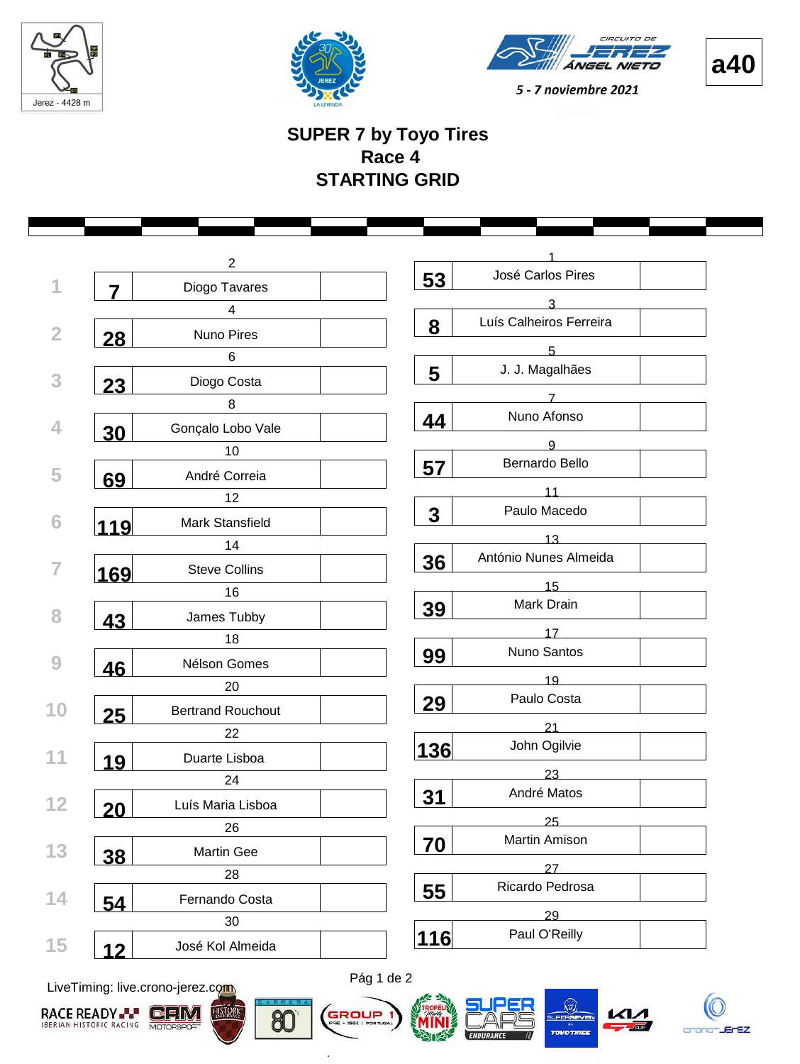





#### **SUPER 7 by Toyo Tires Race 4 STARTING GRID**

|             | $\overline{2}$           |                              |
|-------------|--------------------------|------------------------------|
| 7           | Diogo Tavares            | José Carlos Pires<br>53      |
|             | $\overline{4}$           | 3                            |
| 28          | Nuno Pires               | Luís Calheiros Ferreira<br>8 |
|             | $\,6\,$                  | 5                            |
|             | Diogo Costa              | J. J. Magalhães<br>5         |
| <b>23</b>   | 8                        | 7                            |
|             | Gonçalo Lobo Vale        | Nuno Afonso<br>44            |
| <b>30</b>   | 10                       | 9                            |
|             | André Correia            | Bernardo Bello<br>57         |
| 69          | 12                       | 11                           |
|             |                          | Paulo Macedo<br>$\mathbf 3$  |
| <u> 119</u> | Mark Stansfield          | 13                           |
|             | 14                       | António Nunes Almeida<br>36  |
| <u>169</u>  | <b>Steve Collins</b>     | 15                           |
|             | 16                       | Mark Drain<br>39             |
| 43          | James Tubby              |                              |
|             | 18                       | 17<br>Nuno Santos            |
| 46          | Nélson Gomes             | 99                           |
|             | 20                       | 19                           |
| 25          | <b>Bertrand Rouchout</b> | Paulo Costa<br>29            |
|             | 22                       | 21                           |
| 19          | Duarte Lisboa            | John Ogilvie<br>136          |
|             | 24                       | 23                           |
|             | Luís Maria Lisboa        | André Matos<br><u>31</u>     |
| <b>20</b>   | 26                       | 25                           |
|             | <b>Martin Gee</b>        | Martin Amison<br>70          |
| 38          | 28                       | 27                           |
|             |                          | Ricardo Pedrosa<br>55        |
| 54          | Fernando Costa           | 29                           |
|             | 30                       | Paul O'Reilly<br>116         |
| 12          | José Kol Almeida         |                              |

LiveTiming: live.crono-jerez.com





ä

Pág 1 de 2